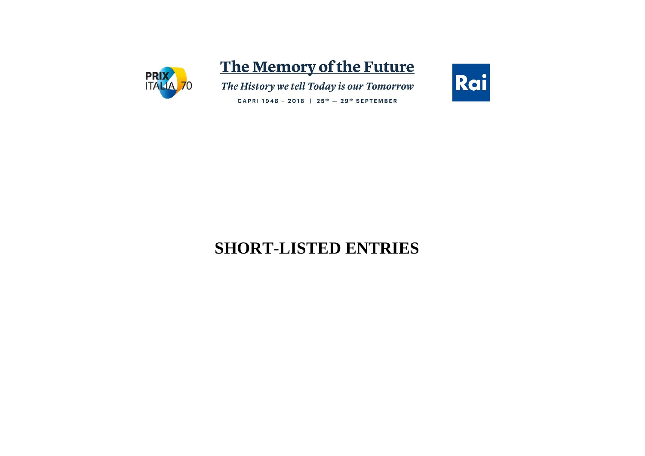

# The Memory of the Future

The History we tell Today is our Tomorrow

Rai

CAPRI 1948 - 2018 | 25<sup>th</sup> - 29<sup>th</sup> SEPTEMBER

# **SHORT-LISTED ENTRIES**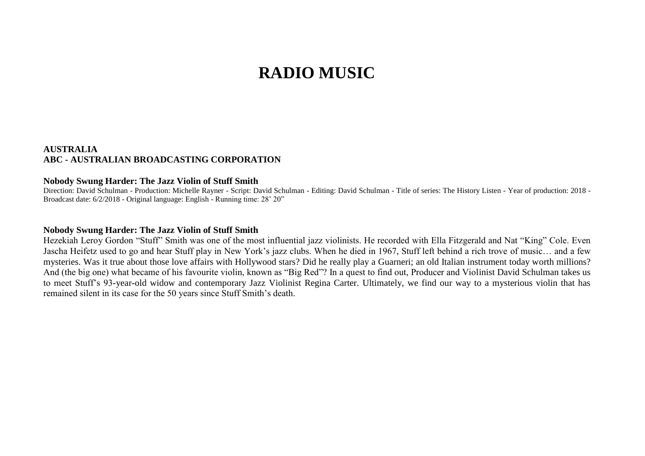# **RADIO MUSIC**

## **AUSTRALIA ABC - AUSTRALIAN BROADCASTING CORPORATION**

#### **Nobody Swung Harder: The Jazz Violin of Stuff Smith**

Direction: David Schulman - Production: Michelle Rayner - Script: David Schulman - Editing: David Schulman - Title of series: The History Listen - Year of production: 2018 - Broadcast date: 6/2/2018 - Original language: English - Running time: 28' 20"

#### **Nobody Swung Harder: The Jazz Violin of Stuff Smith**

Hezekiah Leroy Gordon "Stuff" Smith was one of the most influential jazz violinists. He recorded with Ella Fitzgerald and Nat "King" Cole. Even Jascha Heifetz used to go and hear Stuff play in New York's jazz clubs. When he died in 1967, Stuff left behind a rich trove of music… and a few mysteries. Was it true about those love affairs with Hollywood stars? Did he really play a Guarneri; an old Italian instrument today worth millions? And (the big one) what became of his favourite violin, known as "Big Red"? In a quest to find out, Producer and Violinist David Schulman takes us to meet Stuff's 93-year-old widow and contemporary Jazz Violinist Regina Carter. Ultimately, we find our way to a mysterious violin that has remained silent in its case for the 50 years since Stuff Smith's death.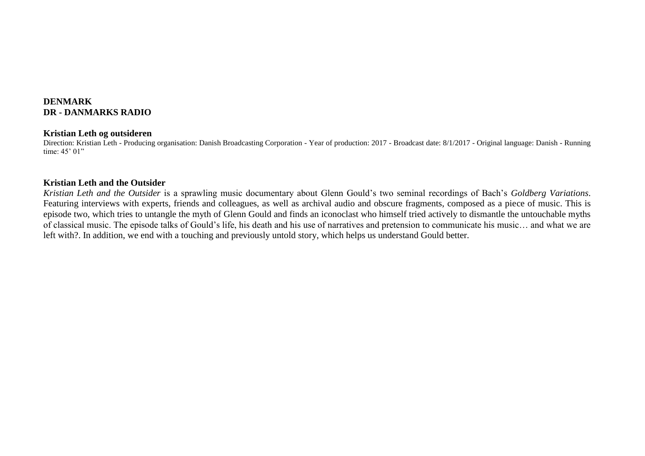# **DENMARK DR - DANMARKS RADIO**

#### **Kristian Leth og outsideren**

Direction: Kristian Leth - Producing organisation: Danish Broadcasting Corporation - Year of production: 2017 - Broadcast date: 8/1/2017 - Original language: Danish - Running time: 45' 01"

## **Kristian Leth and the Outsider**

*Kristian Leth and the Outsider* is a sprawling music documentary about Glenn Gould's two seminal recordings of Bach's *Goldberg Variations*. Featuring interviews with experts, friends and colleagues, as well as archival audio and obscure fragments, composed as a piece of music. This is episode two, which tries to untangle the myth of Glenn Gould and finds an iconoclast who himself tried actively to dismantle the untouchable myths of classical music. The episode talks of Gould's life, his death and his use of narratives and pretension to communicate his music… and what we are left with?. In addition, we end with a touching and previously untold story, which helps us understand Gould better.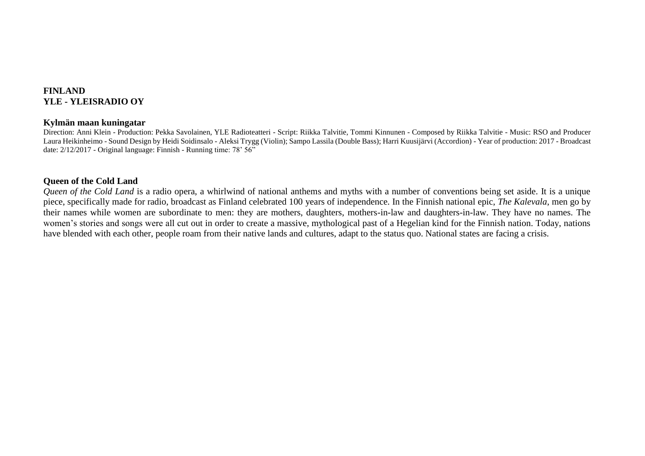## **FINLAND YLE - YLEISRADIO OY**

#### **Kylmän maan kuningatar**

Direction: Anni Klein - Production: Pekka Savolainen, YLE Radioteatteri - Script: Riikka Talvitie, Tommi Kinnunen - Composed by Riikka Talvitie - Music: RSO and Producer Laura Heikinheimo - Sound Design by Heidi Soidinsalo - Aleksi Trygg (Violin); Sampo Lassila (Double Bass); Harri Kuusijärvi (Accordion) - Year of production: 2017 - Broadcast date: 2/12/2017 - Original language: Finnish - Running time: 78' 56"

## **Queen of the Cold Land**

*Queen of the Cold Land* is a radio opera, a whirlwind of national anthems and myths with a number of conventions being set aside. It is a unique piece, specifically made for radio, broadcast as Finland celebrated 100 years of independence. In the Finnish national epic, *The Kalevala*, men go by their names while women are subordinate to men: they are mothers, daughters, mothers-in-law and daughters-in-law. They have no names. The women's stories and songs were all cut out in order to create a massive, mythological past of a Hegelian kind for the Finnish nation. Today, nations have blended with each other, people roam from their native lands and cultures, adapt to the status quo. National states are facing a crisis.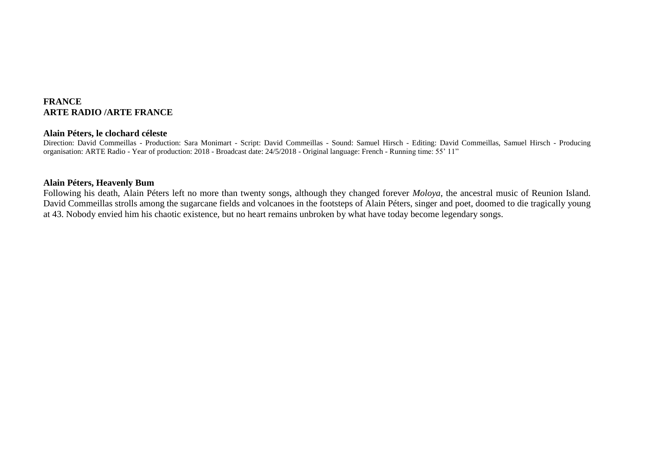## **FRANCE ARTE RADIO /ARTE FRANCE**

#### **Alain Péters, le clochard céleste**

Direction: David Commeillas - Production: Sara Monimart - Script: David Commeillas - Sound: Samuel Hirsch - Editing: David Commeillas, Samuel Hirsch - Producing organisation: ARTE Radio - Year of production: 2018 - Broadcast date: 24/5/2018 - Original language: French - Running time: 55' 11"

## **Alain Péters, Heavenly Bum**

Following his death, Alain Péters left no more than twenty songs, although they changed forever *Moloya*, the ancestral music of Reunion Island. David Commeillas strolls among the sugarcane fields and volcanoes in the footsteps of Alain Péters, singer and poet, doomed to die tragically young at 43. Nobody envied him his chaotic existence, but no heart remains unbroken by what have today become legendary songs.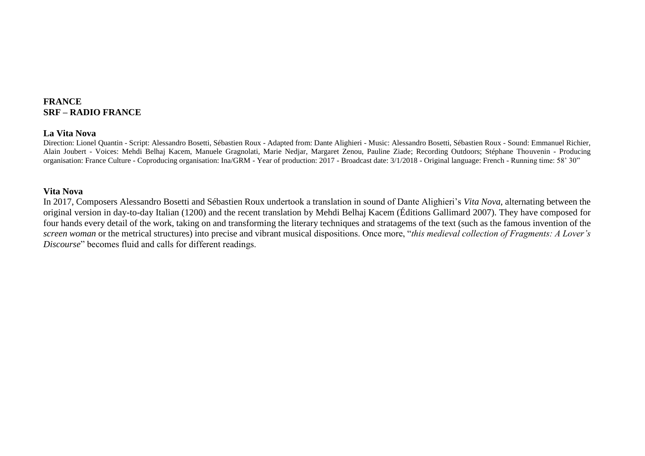# **FRANCE SRF – RADIO FRANCE**

#### **La Vita Nova**

Direction: Lionel Quantin - Script: Alessandro Bosetti, Sébastien Roux - Adapted from: Dante Alighieri - Music: Alessandro Bosetti, Sébastien Roux - Sound: Emmanuel Richier, Alain Joubert - Voices: Mehdi Belhaj Kacem, Manuele Gragnolati, Marie Nedjar, Margaret Zenou, Pauline Ziade; Recording Outdoors; Stéphane Thouvenin - Producing organisation: France Culture - Coproducing organisation: Ina/GRM - Year of production: 2017 - Broadcast date: 3/1/2018 - Original language: French - Running time: 58' 30"

#### **Vita Nova**

In 2017, Composers Alessandro Bosetti and Sébastien Roux undertook a translation in sound of Dante Alighieri's *Vita Nova*, alternating between the original version in day-to-day Italian (1200) and the recent translation by Mehdi Belhaj Kacem (Éditions Gallimard 2007). They have composed for four hands every detail of the work, taking on and transforming the literary techniques and stratagems of the text (such as the famous invention of the *screen woman* or the metrical structures) into precise and vibrant musical dispositions. Once more, "*this medieval collection of Fragments: A Lover's Discourse*" becomes fluid and calls for different readings.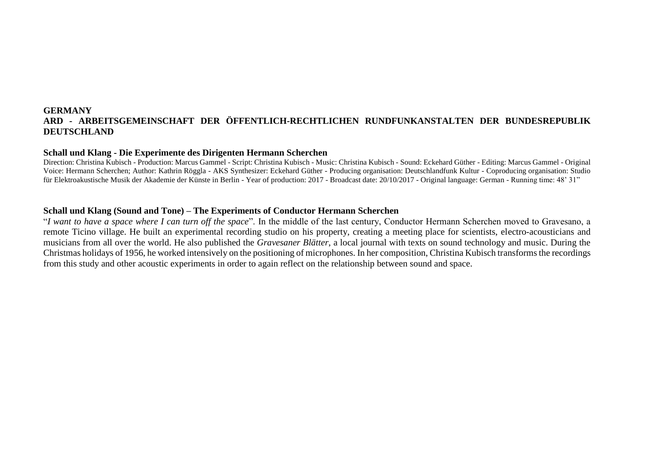## **GERMANY ARD - ARBEITSGEMEINSCHAFT DER ÖFFENTLICH-RECHTLICHEN RUNDFUNKANSTALTEN DER BUNDESREPUBLIK DEUTSCHLAND**

#### **Schall und Klang - Die Experimente des Dirigenten Hermann Scherchen**

Direction: Christina Kubisch - Production: Marcus Gammel - Script: Christina Kubisch - Music: Christina Kubisch - Sound: Eckehard Güther - Editing: Marcus Gammel - Original Voice: Hermann Scherchen; Author: Kathrin Röggla - AKS Synthesizer: Eckehard Güther - Producing organisation: Deutschlandfunk Kultur - Coproducing organisation: Studio für Elektroakustische Musik der Akademie der Künste in Berlin - Year of production: 2017 - Broadcast date: 20/10/2017 - Original language: German - Running time: 48' 31"

#### **Schall und Klang (Sound and Tone) – The Experiments of Conductor Hermann Scherchen**

"*I want to have a space where I can turn off the space*". In the middle of the last century, Conductor Hermann Scherchen moved to Gravesano, a remote Ticino village. He built an experimental recording studio on his property, creating a meeting place for scientists, electro-acousticians and musicians from all over the world. He also published the *Gravesaner Blätter*, a local journal with texts on sound technology and music. During the Christmas holidays of 1956, he worked intensively on the positioning of microphones. In her composition, Christina Kubisch transforms the recordings from this study and other acoustic experiments in order to again reflect on the relationship between sound and space.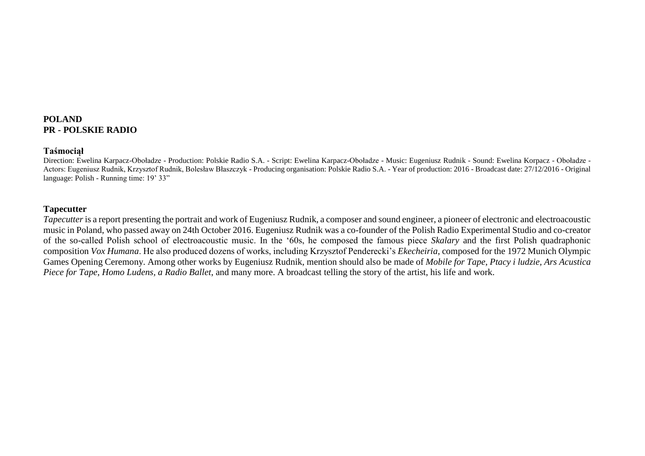## **POLAND PR - POLSKIE RADIO**

#### **Taśmociął**

Direction: Ewelina Karpacz-Oboładze - Production: Polskie Radio S.A. - Script: Ewelina Karpacz-Oboładze - Music: Eugeniusz Rudnik - Sound: Ewelina Korpacz - Oboładze - Actors: Eugeniusz Rudnik, Krzysztof Rudnik, Bolesław Błaszczyk - Producing organisation: Polskie Radio S.A. - Year of production: 2016 - Broadcast date: 27/12/2016 - Original language: Polish - Running time: 19' 33"

#### **Tapecutter**

*Tapecutter* is a report presenting the portrait and work of Eugeniusz Rudnik, a composer and sound engineer, a pioneer of electronic and electroacoustic music in Poland, who passed away on 24th October 2016. Eugeniusz Rudnik was a co-founder of the Polish Radio Experimental Studio and co-creator of the so-called Polish school of electroacoustic music. In the '60s, he composed the famous piece *Skalary* and the first Polish quadraphonic composition *Vox Humana*. He also produced dozens of works, including Krzysztof Penderecki's *Ekecheiria*, composed for the 1972 Munich Olympic Games Opening Ceremony. Among other works by Eugeniusz Rudnik, mention should also be made of *Mobile for Tape*, *Ptacy i ludzie, Ars Acustica Piece for Tape*, *Homo Ludens, a Radio Ballet*, and many more. A broadcast telling the story of the artist, his life and work.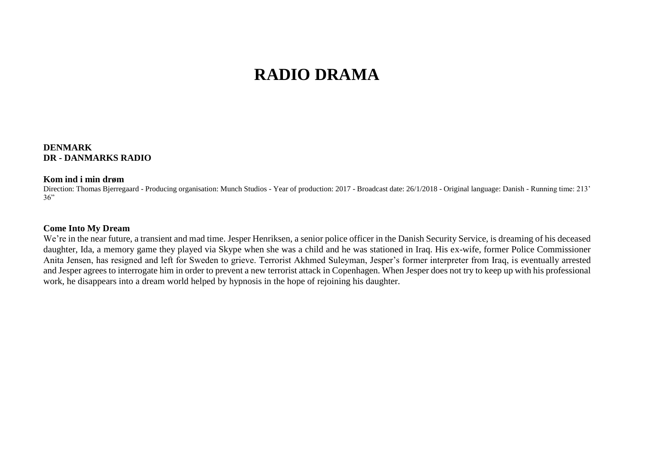# **RADIO DRAMA**

## **DENMARK DR - DANMARKS RADIO**

#### **Kom ind i min drøm**

Direction: Thomas Bjerregaard - Producing organisation: Munch Studios - Year of production: 2017 - Broadcast date: 26/1/2018 - Original language: Danish - Running time: 213'  $36"$ 

#### **Come Into My Dream**

We're in the near future, a transient and mad time. Jesper Henriksen, a senior police officer in the Danish Security Service, is dreaming of his deceased daughter, Ida, a memory game they played via Skype when she was a child and he was stationed in Iraq. His ex-wife, former Police Commissioner Anita Jensen, has resigned and left for Sweden to grieve. Terrorist Akhmed Suleyman, Jesper's former interpreter from Iraq, is eventually arrested and Jesper agrees to interrogate him in order to prevent a new terrorist attack in Copenhagen. When Jesper does not try to keep up with his professional work, he disappears into a dream world helped by hypnosis in the hope of rejoining his daughter.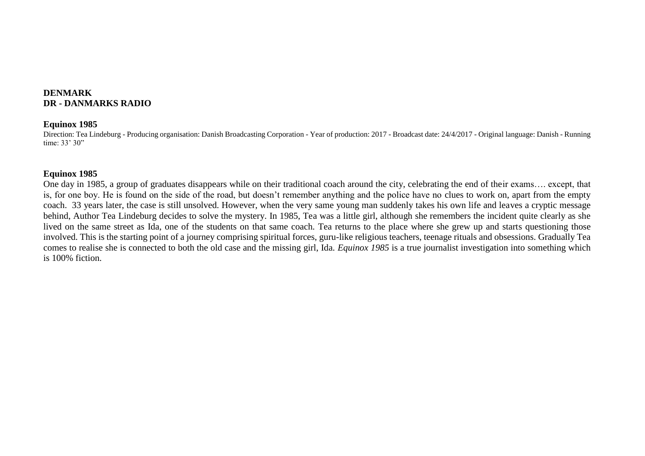# **DENMARK DR - DANMARKS RADIO**

#### **Equinox 1985**

Direction: Tea Lindeburg - Producing organisation: Danish Broadcasting Corporation - Year of production: 2017 - Broadcast date: 24/4/2017 - Original language: Danish - Running time: 33' 30"

## **Equinox 1985**

One day in 1985, a group of graduates disappears while on their traditional coach around the city, celebrating the end of their exams…. except, that is, for one boy. He is found on the side of the road, but doesn't remember anything and the police have no clues to work on, apart from the empty coach. 33 years later, the case is still unsolved. However, when the very same young man suddenly takes his own life and leaves a cryptic message behind, Author Tea Lindeburg decides to solve the mystery. In 1985, Tea was a little girl, although she remembers the incident quite clearly as she lived on the same street as Ida, one of the students on that same coach. Tea returns to the place where she grew up and starts questioning those involved. This is the starting point of a journey comprising spiritual forces, guru-like religious teachers, teenage rituals and obsessions. Gradually Tea comes to realise she is connected to both the old case and the missing girl, Ida. *Equinox 1985* is a true journalist investigation into something which is 100% fiction.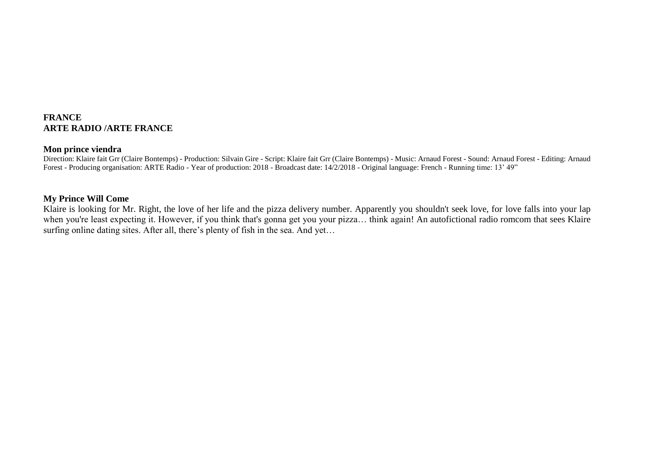## **FRANCE ARTE RADIO /ARTE FRANCE**

#### **Mon prince viendra**

Direction: Klaire fait Grr (Claire Bontemps) - Production: Silvain Gire - Script: Klaire fait Grr (Claire Bontemps) - Music: Arnaud Forest - Sound: Arnaud Forest - Editing: Arnaud Forest - Producing organisation: ARTE Radio - Year of production: 2018 - Broadcast date: 14/2/2018 - Original language: French - Running time: 13' 49"

## **My Prince Will Come**

Klaire is looking for Mr. Right, the love of her life and the pizza delivery number. Apparently you shouldn't seek love, for love falls into your lap when you're least expecting it. However, if you think that's gonna get you your pizza… think again! An autofictional radio romcom that sees Klaire surfing online dating sites. After all, there's plenty of fish in the sea. And yet…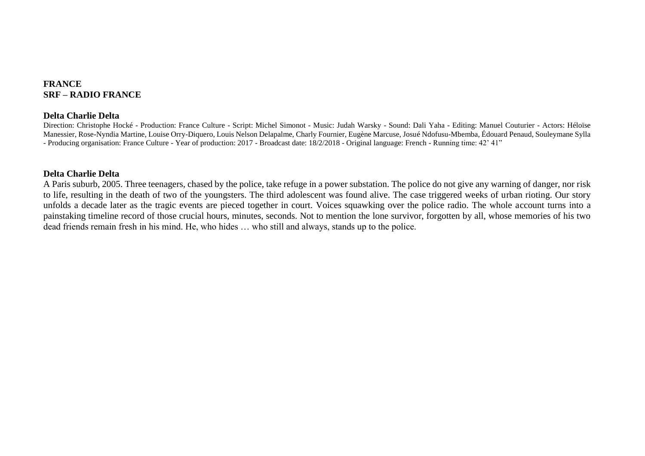## **FRANCE SRF – RADIO FRANCE**

#### **Delta Charlie Delta**

Direction: Christophe Hocké - Production: France Culture - Script: Michel Simonot - Music: Judah Warsky - Sound: Dali Yaha - Editing: Manuel Couturier - Actors: Héloïse Manessier, Rose-Nyndia Martine, Louise Orry-Diquero, Louis Nelson Delapalme, Charly Fournier, Eugène Marcuse, Josué Ndofusu-Mbemba, Édouard Penaud, Souleymane Sylla - Producing organisation: France Culture - Year of production: 2017 - Broadcast date: 18/2/2018 - Original language: French - Running time: 42' 41"

## **Delta Charlie Delta**

A Paris suburb, 2005. Three teenagers, chased by the police, take refuge in a power substation. The police do not give any warning of danger, nor risk to life, resulting in the death of two of the youngsters. The third adolescent was found alive. The case triggered weeks of urban rioting. Our story unfolds a decade later as the tragic events are pieced together in court. Voices squawking over the police radio. The whole account turns into a painstaking timeline record of those crucial hours, minutes, seconds. Not to mention the lone survivor, forgotten by all, whose memories of his two dead friends remain fresh in his mind. He, who hides … who still and always, stands up to the police.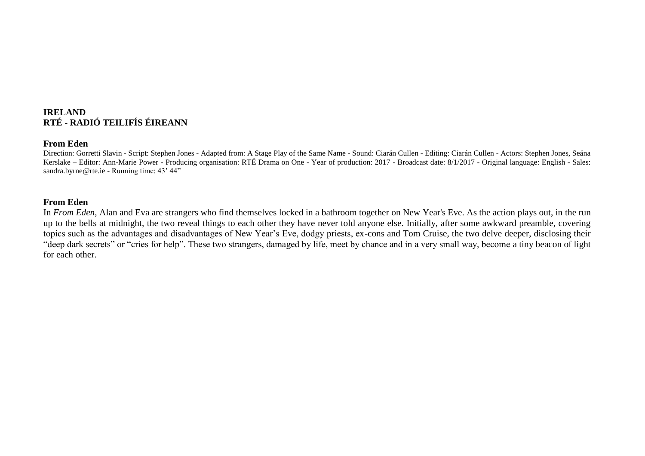## **IRELAND RTÉ - RADIÓ TEILIFÍS ÉIREANN**

#### **From Eden**

Direction: Gorretti Slavin - Script: Stephen Jones - Adapted from: A Stage Play of the Same Name - Sound: Ciarán Cullen - Editing: Ciarán Cullen - Actors: Stephen Jones, Seána Kerslake – Editor: Ann-Marie Power - Producing organisation: RTÉ Drama on One - Year of production: 2017 - Broadcast date: 8/1/2017 - Original language: English - Sales: sandra.byrne@rte.ie - Running time: 43' 44"

#### **From Eden**

In *From Eden*, Alan and Eva are strangers who find themselves locked in a bathroom together on New Year's Eve. As the action plays out, in the run up to the bells at midnight, the two reveal things to each other they have never told anyone else. Initially, after some awkward preamble, covering topics such as the advantages and disadvantages of New Year's Eve, dodgy priests, ex-cons and Tom Cruise, the two delve deeper, disclosing their "deep dark secrets" or "cries for help". These two strangers, damaged by life, meet by chance and in a very small way, become a tiny beacon of light for each other.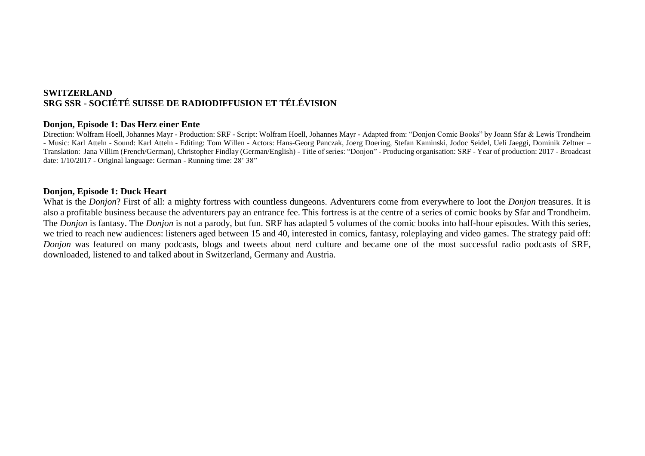# **SWITZERLAND SRG SSR - SOCIÉTÉ SUISSE DE RADIODIFFUSION ET TÉLÉVISION**

#### **Donjon, Episode 1: Das Herz einer Ente**

Direction: Wolfram Hoell, Johannes Mayr - Production: SRF - Script: Wolfram Hoell, Johannes Mayr - Adapted from: "Donjon Comic Books" by Joann Sfar & Lewis Trondheim - Music: Karl Atteln - Sound: Karl Atteln - Editing: Tom Willen - Actors: Hans-Georg Panczak, Joerg Doering, Stefan Kaminski, Jodoc Seidel, Ueli Jaeggi, Dominik Zeltner – Translation: Jana Villim (French/German), Christopher Findlay (German/English) - Title of series: "Donjon" - Producing organisation: SRF - Year of production: 2017 - Broadcast date: 1/10/2017 - Original language: German - Running time: 28' 38"

## **Donjon, Episode 1: Duck Heart**

What is the *Donjon*? First of all: a mighty fortress with countless dungeons. Adventurers come from everywhere to loot the *Donjon* treasures. It is also a profitable business because the adventurers pay an entrance fee. This fortress is at the centre of a series of comic books by Sfar and Trondheim. The *Donjon* is fantasy. The *Donjon* is not a parody, but fun. SRF has adapted 5 volumes of the comic books into half-hour episodes. With this series, we tried to reach new audiences: listeners aged between 15 and 40, interested in comics, fantasy, roleplaying and video games. The strategy paid off: *Donjon* was featured on many podcasts, blogs and tweets about nerd culture and became one of the most successful radio podcasts of SRF, downloaded, listened to and talked about in Switzerland, Germany and Austria.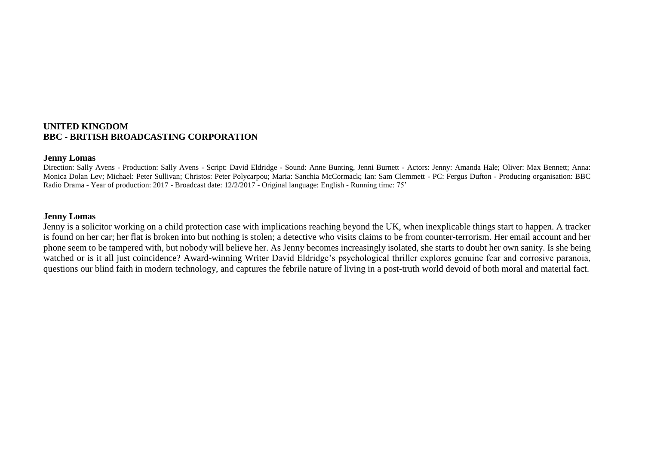## **UNITED KINGDOM BBC - BRITISH BROADCASTING CORPORATION**

#### **Jenny Lomas**

Direction: Sally Avens - Production: Sally Avens - Script: David Eldridge - Sound: Anne Bunting, Jenni Burnett - Actors: Jenny: Amanda Hale; Oliver: Max Bennett; Anna: Monica Dolan Lev; Michael: Peter Sullivan; Christos: Peter Polycarpou; Maria: Sanchia McCormack; Ian: Sam Clemmett - PC: Fergus Dufton - Producing organisation: BBC Radio Drama - Year of production: 2017 - Broadcast date: 12/2/2017 - Original language: English - Running time: 75'

#### **Jenny Lomas**

Jenny is a solicitor working on a child protection case with implications reaching beyond the UK, when inexplicable things start to happen. A tracker is found on her car; her flat is broken into but nothing is stolen; a detective who visits claims to be from counter-terrorism. Her email account and her phone seem to be tampered with, but nobody will believe her. As Jenny becomes increasingly isolated, she starts to doubt her own sanity. Is she being watched or is it all just coincidence? Award-winning Writer David Eldridge's psychological thriller explores genuine fear and corrosive paranoia, questions our blind faith in modern technology, and captures the febrile nature of living in a post-truth world devoid of both moral and material fact.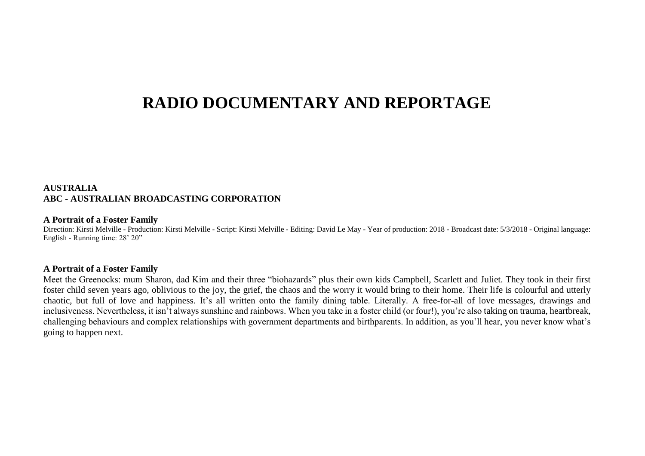# **RADIO DOCUMENTARY AND REPORTAGE**

## **AUSTRALIA ABC - AUSTRALIAN BROADCASTING CORPORATION**

#### **A Portrait of a Foster Family**

Direction: Kirsti Melville - Production: Kirsti Melville - Script: Kirsti Melville - Editing: David Le May - Year of production: 2018 - Broadcast date: 5/3/2018 - Original language: English - Running time: 28' 20"

#### **A Portrait of a Foster Family**

Meet the Greenocks: mum Sharon, dad Kim and their three "biohazards" plus their own kids Campbell, Scarlett and Juliet. They took in their first foster child seven years ago, oblivious to the joy, the grief, the chaos and the worry it would bring to their home. Their life is colourful and utterly chaotic, but full of love and happiness. It's all written onto the family dining table. Literally. A free-for-all of love messages, drawings and inclusiveness. Nevertheless, it isn't always sunshine and rainbows. When you take in a foster child (or four!), you're also taking on trauma, heartbreak, challenging behaviours and complex relationships with government departments and birthparents. In addition, as you'll hear, you never know what's going to happen next.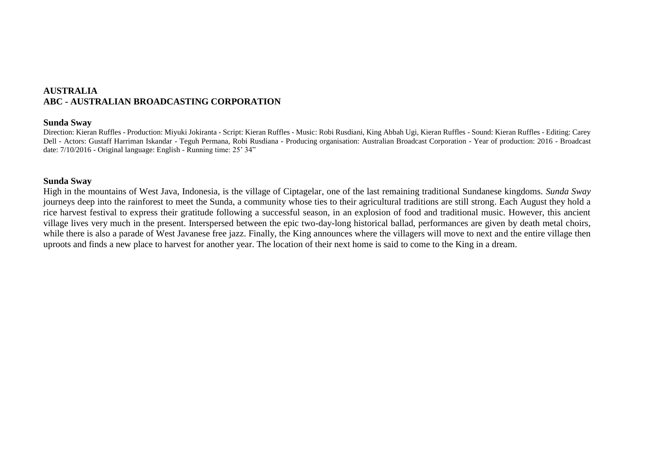## **AUSTRALIA ABC - AUSTRALIAN BROADCASTING CORPORATION**

#### **Sunda Sway**

Direction: Kieran Ruffles - Production: Miyuki Jokiranta - Script: Kieran Ruffles - Music: Robi Rusdiani, King Abbah Ugi, Kieran Ruffles - Sound: Kieran Ruffles - Editing: Carey Dell - Actors: Gustaff Harriman Iskandar - Teguh Permana, Robi Rusdiana - Producing organisation: Australian Broadcast Corporation - Year of production: 2016 - Broadcast date: 7/10/2016 - Original language: English - Running time: 25' 34"

#### **Sunda Sway**

High in the mountains of West Java, Indonesia, is the village of Ciptagelar, one of the last remaining traditional Sundanese kingdoms. *Sunda Sway* journeys deep into the rainforest to meet the Sunda, a community whose ties to their agricultural traditions are still strong. Each August they hold a rice harvest festival to express their gratitude following a successful season, in an explosion of food and traditional music. However, this ancient village lives very much in the present. Interspersed between the epic two-day-long historical ballad, performances are given by death metal choirs, while there is also a parade of West Javanese free jazz. Finally, the King announces where the villagers will move to next and the entire village then uproots and finds a new place to harvest for another year. The location of their next home is said to come to the King in a dream.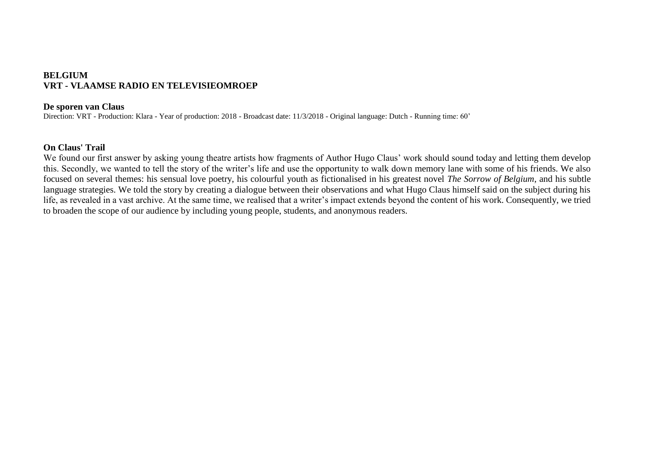# **BELGIUM VRT - VLAAMSE RADIO EN TELEVISIEOMROEP**

#### **De sporen van Claus**

Direction: VRT - Production: Klara - Year of production: 2018 - Broadcast date: 11/3/2018 - Original language: Dutch - Running time: 60'

## **On Claus' Trail**

We found our first answer by asking young theatre artists how fragments of Author Hugo Claus' work should sound today and letting them develop this. Secondly, we wanted to tell the story of the writer's life and use the opportunity to walk down memory lane with some of his friends. We also focused on several themes: his sensual love poetry, his colourful youth as fictionalised in his greatest novel *The Sorrow of Belgium*, and his subtle language strategies. We told the story by creating a dialogue between their observations and what Hugo Claus himself said on the subject during his life, as revealed in a vast archive. At the same time, we realised that a writer's impact extends beyond the content of his work. Consequently, we tried to broaden the scope of our audience by including young people, students, and anonymous readers.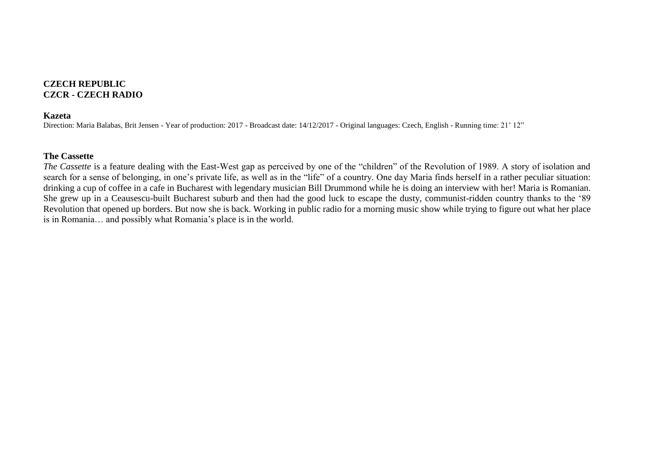## **CZECH REPUBLIC CZCR - CZECH RADIO**

#### **Kazeta**

Direction: Maria Balabas, Brit Jensen - Year of production: 2017 - Broadcast date: 14/12/2017 - Original languages: Czech, English - Running time: 21' 12"

## **The Cassette**

*The Cassette* is a feature dealing with the East-West gap as perceived by one of the "children" of the Revolution of 1989. A story of isolation and search for a sense of belonging, in one's private life, as well as in the "life" of a country. One day Maria finds herself in a rather peculiar situation: drinking a cup of coffee in a cafe in Bucharest with legendary musician Bill Drummond while he is doing an interview with her! Maria is Romanian. She grew up in a Ceausescu-built Bucharest suburb and then had the good luck to escape the dusty, communist-ridden country thanks to the '89 Revolution that opened up borders. But now she is back. Working in public radio for a morning music show while trying to figure out what her place is in Romania… and possibly what Romania's place is in the world.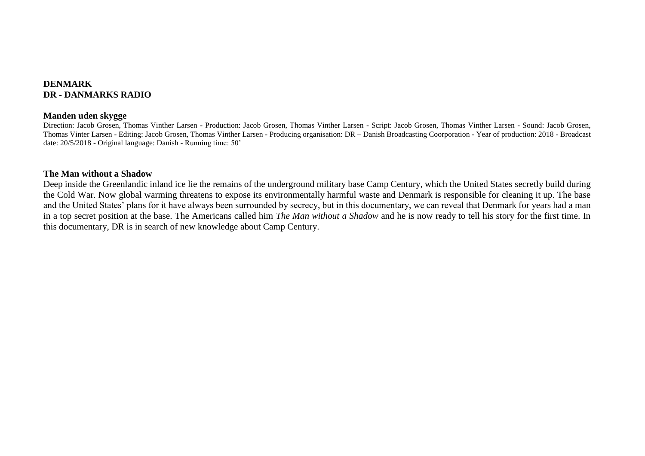## **DENMARK DR - DANMARKS RADIO**

#### **Manden uden skygge**

Direction: Jacob Grosen, Thomas Vinther Larsen - Production: Jacob Grosen, Thomas Vinther Larsen - Script: Jacob Grosen, Thomas Vinther Larsen - Sound: Jacob Grosen, Thomas Vinter Larsen - Editing: Jacob Grosen, Thomas Vinther Larsen - Producing organisation: DR – Danish Broadcasting Coorporation - Year of production: 2018 - Broadcast date: 20/5/2018 - Original language: Danish - Running time: 50'

#### **The Man without a Shadow**

Deep inside the Greenlandic inland ice lie the remains of the underground military base Camp Century, which the United States secretly build during the Cold War. Now global warming threatens to expose its environmentally harmful waste and Denmark is responsible for cleaning it up. The base and the United States' plans for it have always been surrounded by secrecy, but in this documentary, we can reveal that Denmark for years had a man in a top secret position at the base. The Americans called him *The Man without a Shadow* and he is now ready to tell his story for the first time. In this documentary, DR is in search of new knowledge about Camp Century.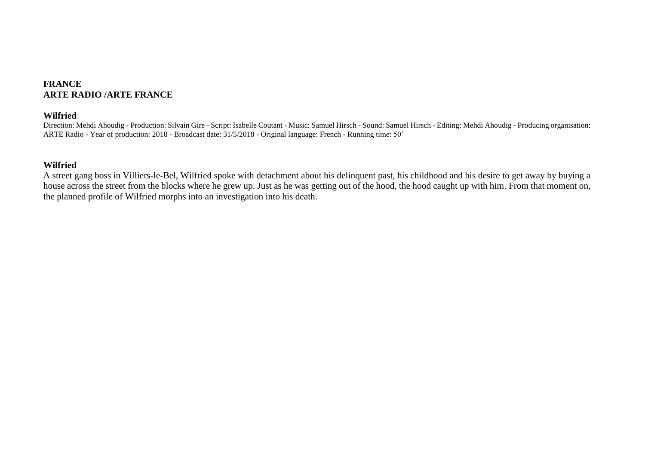## **FRANCE ARTE RADIO /ARTE FRANCE**

## **Wilfried**

Direction: Mehdi Ahoudig - Production: Silvain Gire - Script: Isabelle Coutant - Music: Samuel Hirsch - Sound: Samuel Hirsch - Editing: Mehdi Ahoudig - Producing organisation: ARTE Radio - Year of production: 2018 - Broadcast date: 31/5/2018 - Original language: French - Running time: 50'

## **Wilfried**

A street gang boss in Villiers-le-Bel, Wilfried spoke with detachment about his delinquent past, his childhood and his desire to get away by buying a house across the street from the blocks where he grew up. Just as he was getting out of the hood, the hood caught up with him. From that moment on, the planned profile of Wilfried morphs into an investigation into his death.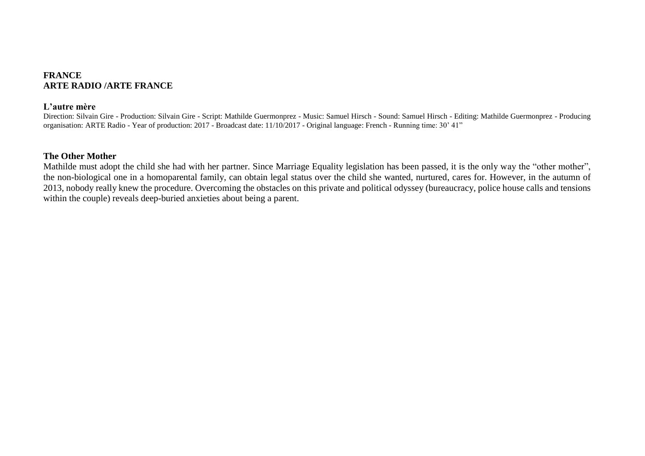## **FRANCE ARTE RADIO /ARTE FRANCE**

#### **L'autre mère**

Direction: Silvain Gire - Production: Silvain Gire - Script: Mathilde Guermonprez - Music: Samuel Hirsch - Sound: Samuel Hirsch - Editing: Mathilde Guermonprez - Producing organisation: ARTE Radio - Year of production: 2017 - Broadcast date: 11/10/2017 - Original language: French - Running time: 30' 41"

#### **The Other Mother**

Mathilde must adopt the child she had with her partner. Since Marriage Equality legislation has been passed, it is the only way the "other mother", the non-biological one in a homoparental family, can obtain legal status over the child she wanted, nurtured, cares for. However, in the autumn of 2013, nobody really knew the procedure. Overcoming the obstacles on this private and political odyssey (bureaucracy, police house calls and tensions within the couple) reveals deep-buried anxieties about being a parent.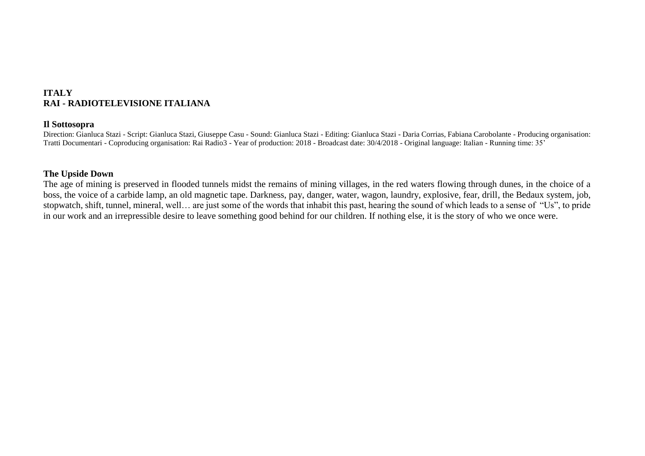# **ITALY RAI - RADIOTELEVISIONE ITALIANA**

#### **Il Sottosopra**

Direction: Gianluca Stazi - Script: Gianluca Stazi, Giuseppe Casu - Sound: Gianluca Stazi - Editing: Gianluca Stazi - Daria Corrias, Fabiana Carobolante - Producing organisation: Tratti Documentari - Coproducing organisation: Rai Radio3 - Year of production: 2018 - Broadcast date: 30/4/2018 - Original language: Italian - Running time: 35'

## **The Upside Down**

The age of mining is preserved in flooded tunnels midst the remains of mining villages, in the red waters flowing through dunes, in the choice of a boss, the voice of a carbide lamp, an old magnetic tape. Darkness, pay, danger, water, wagon, laundry, explosive, fear, drill, the Bedaux system, job, stopwatch, shift, tunnel, mineral, well… are just some of the words that inhabit this past, hearing the sound of which leads to a sense of "Us", to pride in our work and an irrepressible desire to leave something good behind for our children. If nothing else, it is the story of who we once were.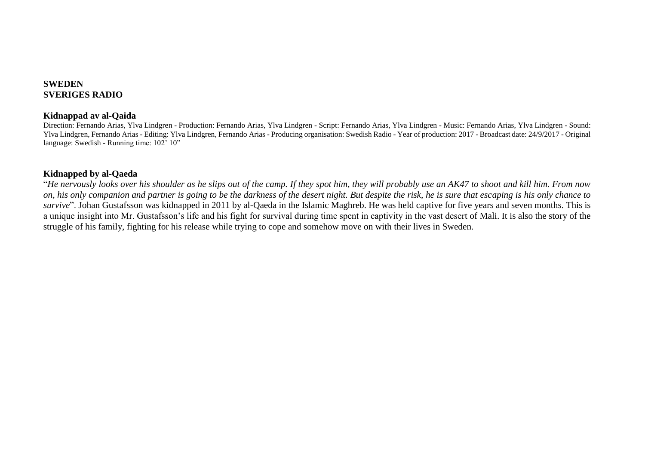## **SWEDEN SVERIGES RADIO**

## **Kidnappad av al-Qaida**

Direction: Fernando Arias, Ylva Lindgren - Production: Fernando Arias, Ylva Lindgren - Script: Fernando Arias, Ylva Lindgren - Music: Fernando Arias, Ylva Lindgren - Sound: Ylva Lindgren, Fernando Arias - Editing: Ylva Lindgren, Fernando Arias - Producing organisation: Swedish Radio - Year of production: 2017 - Broadcast date: 24/9/2017 - Original language: Swedish - Running time: 102' 10"

# **Kidnapped by al-Qaeda**

"*He nervously looks over his shoulder as he slips out of the camp. If they spot him, they will probably use an AK47 to shoot and kill him. From now on, his only companion and partner is going to be the darkness of the desert night. But despite the risk, he is sure that escaping is his only chance to survive*". Johan Gustafsson was kidnapped in 2011 by al-Qaeda in the Islamic Maghreb. He was held captive for five years and seven months. This is a unique insight into Mr. Gustafsson's life and his fight for survival during time spent in captivity in the vast desert of Mali. It is also the story of the struggle of his family, fighting for his release while trying to cope and somehow move on with their lives in Sweden.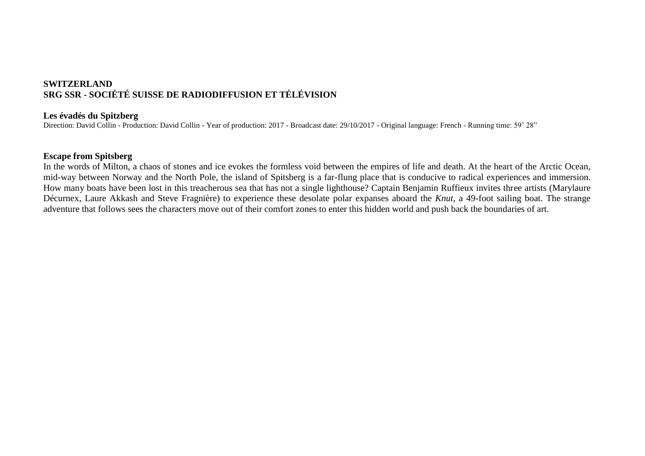# **SWITZERLAND SRG SSR - SOCIÉTÉ SUISSE DE RADIODIFFUSION ET TÉLÉVISION**

## **Les évadés du Spitzberg**

Direction: David Collin - Production: David Collin - Year of production: 2017 - Broadcast date: 29/10/2017 - Original language: French - Running time: 59' 28"

## **Escape from Spitsberg**

In the words of Milton, a chaos of stones and ice evokes the formless void between the empires of life and death. At the heart of the Arctic Ocean, mid-way between Norway and the North Pole, the island of Spitsberg is a far-flung place that is conducive to radical experiences and immersion. How many boats have been lost in this treacherous sea that has not a single lighthouse? Captain Benjamin Ruffieux invites three artists (Marylaure Décurnex, Laure Akkash and Steve Fragnière) to experience these desolate polar expanses aboard the *Knut*, a 49-foot sailing boat. The strange adventure that follows sees the characters move out of their comfort zones to enter this hidden world and push back the boundaries of art.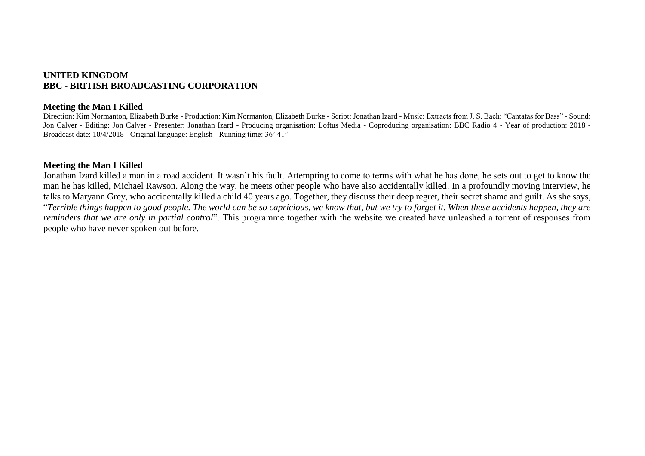## **UNITED KINGDOM BBC - BRITISH BROADCASTING CORPORATION**

#### **Meeting the Man I Killed**

Direction: Kim Normanton, Elizabeth Burke - Production: Kim Normanton, Elizabeth Burke - Script: Jonathan Izard - Music: Extracts from J. S. Bach: "Cantatas for Bass" - Sound: Jon Calver - Editing: Jon Calver - Presenter: Jonathan Izard - Producing organisation: Loftus Media - Coproducing organisation: BBC Radio 4 - Year of production: 2018 -Broadcast date: 10/4/2018 - Original language: English - Running time: 36' 41"

#### **Meeting the Man I Killed**

Jonathan Izard killed a man in a road accident. It wasn't his fault. Attempting to come to terms with what he has done, he sets out to get to know the man he has killed, Michael Rawson. Along the way, he meets other people who have also accidentally killed. In a profoundly moving interview, he talks to Maryann Grey, who accidentally killed a child 40 years ago. Together, they discuss their deep regret, their secret shame and guilt. As she says, "*Terrible things happen to good people. The world can be so capricious, we know that, but we try to forget it. When these accidents happen, they are reminders that we are only in partial control*". This programme together with the website we created have unleashed a torrent of responses from people who have never spoken out before.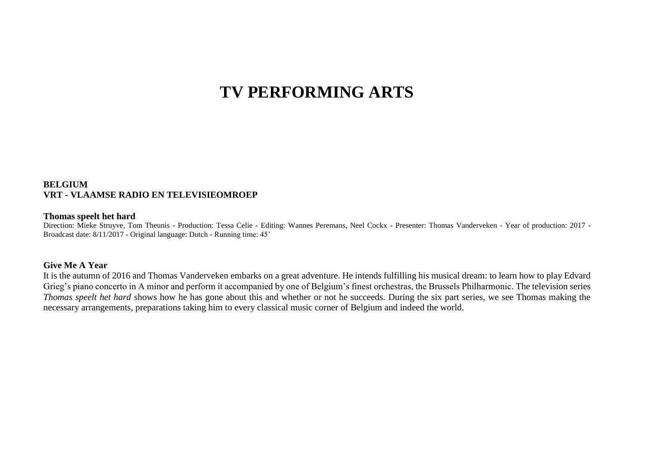# **TV PERFORMING ARTS**

## **BELGIUM VRT - VLAAMSE RADIO EN TELEVISIEOMROEP**

#### **Thomas speelt het hard**

Direction: Mieke Struyve, Tom Theunis - Production: Tessa Celie - Editing: Wannes Peremans, Neel Cockx - Presenter: Thomas Vanderveken - Year of production: 2017 - Broadcast date: 8/11/2017 - Original language: Dutch - Running time: 45'

#### **Give Me A Year**

It is the autumn of 2016 and Thomas Vanderveken embarks on a great adventure. He intends fulfilling his musical dream: to learn how to play Edvard Grieg's piano concerto in A minor and perform it accompanied by one of Belgium's finest orchestras, the Brussels Philharmonic. The television series *Thomas speelt het hard* shows how he has gone about this and whether or not he succeeds. During the six part series, we see Thomas making the necessary arrangements, preparations taking him to every classical music corner of Belgium and indeed the world.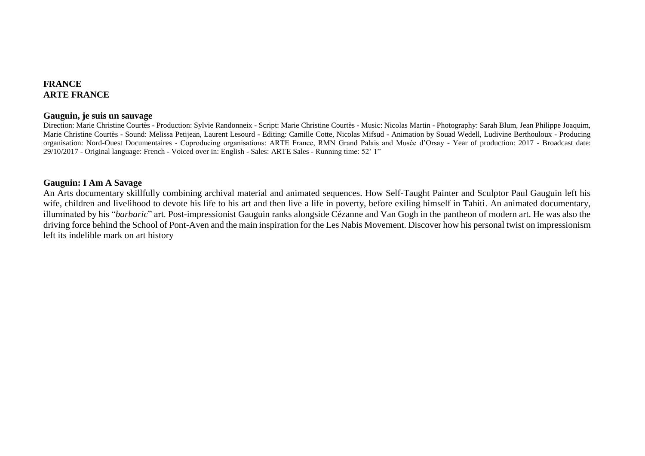## **FRANCE ARTE FRANCE**

#### **Gauguin, je suis un sauvage**

Direction: Marie Christine Courtès - Production: Sylvie Randonneix - Script: Marie Christine Courtès - Music: Nicolas Martin - Photography: Sarah Blum, Jean Philippe Joaquim, Marie Christine Courtès - Sound: Melissa Petijean, Laurent Lesourd - Editing: Camille Cotte, Nicolas Mifsud - Animation by Souad Wedell, Ludivine Berthouloux - Producing organisation: Nord-Ouest Documentaires - Coproducing organisations: ARTE France, RMN Grand Palais and Musée d'Orsay - Year of production: 2017 - Broadcast date: 29/10/2017 - Original language: French - Voiced over in: English - Sales: ARTE Sales - Running time: 52' 1"

## **Gauguin: I Am A Savage**

An Arts documentary skillfully combining archival material and animated sequences. How Self-Taught Painter and Sculptor Paul Gauguin left his wife, children and livelihood to devote his life to his art and then live a life in poverty, before exiling himself in Tahiti. An animated documentary, illuminated by his "*barbaric*" art. Post-impressionist Gauguin ranks alongside Cézanne and Van Gogh in the pantheon of modern art. He was also the driving force behind the School of Pont-Aven and the main inspiration for the Les Nabis Movement. Discover how his personal twist on impressionism left its indelible mark on art history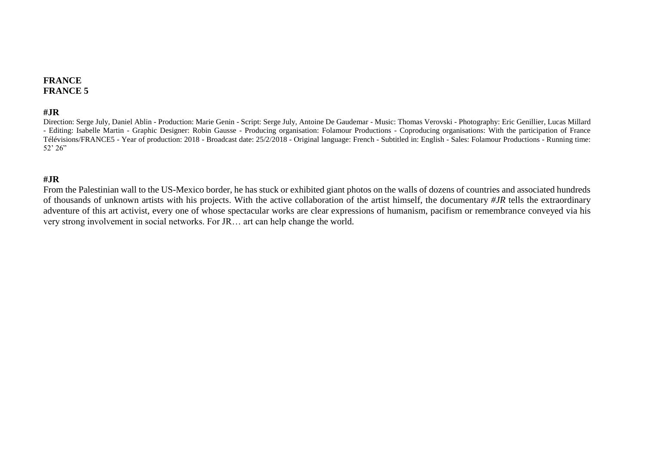# **FRANCE FRANCE 5**

## **#JR**

Direction: Serge July, Daniel Ablin - Production: Marie Genin - Script: Serge July, Antoine De Gaudemar - Music: Thomas Verovski - Photography: Eric Genillier, Lucas Millard - Editing: Isabelle Martin - Graphic Designer: Robin Gausse - Producing organisation: Folamour Productions - Coproducing organisations: With the participation of France Télévisions/FRANCE5 - Year of production: 2018 - Broadcast date: 25/2/2018 - Original language: French - Subtitled in: English - Sales: Folamour Productions - Running time: 52' 26"

## **#JR**

From the Palestinian wall to the US-Mexico border, he has stuck or exhibited giant photos on the walls of dozens of countries and associated hundreds of thousands of unknown artists with his projects. With the active collaboration of the artist himself, the documentary *#JR* tells the extraordinary adventure of this art activist, every one of whose spectacular works are clear expressions of humanism, pacifism or remembrance conveyed via his very strong involvement in social networks. For JR… art can help change the world.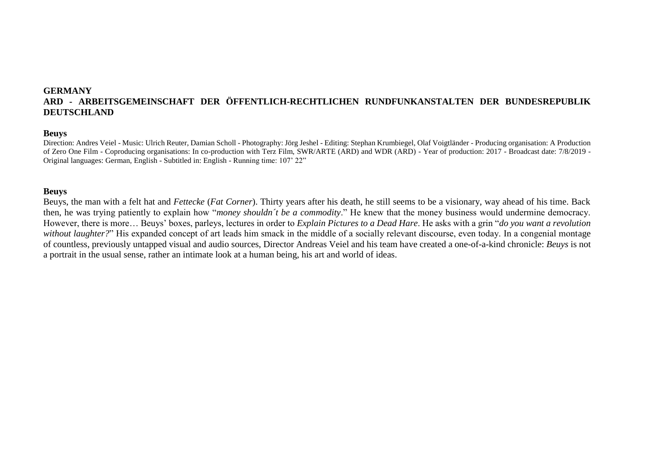# **GERMANY ARD - ARBEITSGEMEINSCHAFT DER ÖFFENTLICH-RECHTLICHEN RUNDFUNKANSTALTEN DER BUNDESREPUBLIK DEUTSCHLAND**

#### **Beuys**

Direction: Andres Veiel - Music: Ulrich Reuter, Damian Scholl - Photography: Jörg Jeshel - Editing: Stephan Krumbiegel, Olaf Voigtländer - Producing organisation: A Production of Zero One Film - Coproducing organisations: In co-production with Terz Film, SWR/ARTE (ARD) and WDR (ARD) - Year of production: 2017 - Broadcast date: 7/8/2019 - Original languages: German, English - Subtitled in: English - Running time: 107' 22"

#### **Beuys**

Beuys, the man with a felt hat and *Fettecke* (*Fat Corner*). Thirty years after his death, he still seems to be a visionary, way ahead of his time. Back then, he was trying patiently to explain how "*money shouldn´t be a commodity*." He knew that the money business would undermine democracy. However, there is more… Beuys' boxes, parleys, lectures in order to *Explain Pictures to a Dead Hare*. He asks with a grin "*do you want a revolution without laughter?*" His expanded concept of art leads him smack in the middle of a socially relevant discourse, even today. In a congenial montage of countless, previously untapped visual and audio sources, Director Andreas Veiel and his team have created a one-of-a-kind chronicle: *Beuys* is not a portrait in the usual sense, rather an intimate look at a human being, his art and world of ideas.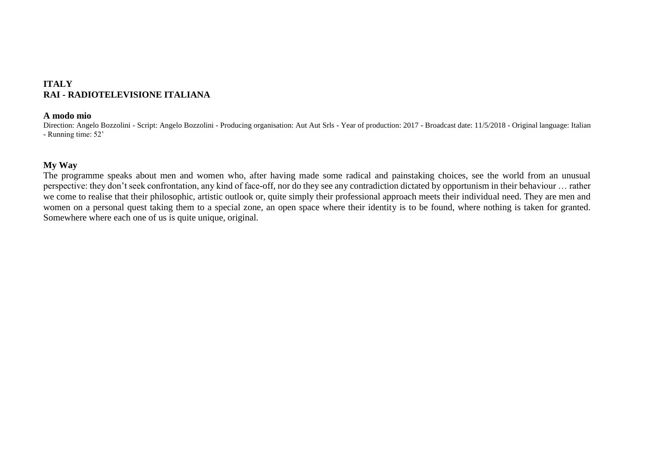# **ITALY RAI - RADIOTELEVISIONE ITALIANA**

#### **A modo mio**

Direction: Angelo Bozzolini - Script: Angelo Bozzolini - Producing organisation: Aut Aut Srls - Year of production: 2017 - Broadcast date: 11/5/2018 - Original language: Italian - Running time: 52'

## **My Way**

The programme speaks about men and women who, after having made some radical and painstaking choices, see the world from an unusual perspective: they don't seek confrontation, any kind of face-off, nor do they see any contradiction dictated by opportunism in their behaviour … rather we come to realise that their philosophic, artistic outlook or, quite simply their professional approach meets their individual need. They are men and women on a personal quest taking them to a special zone, an open space where their identity is to be found, where nothing is taken for granted. Somewhere where each one of us is quite unique, original.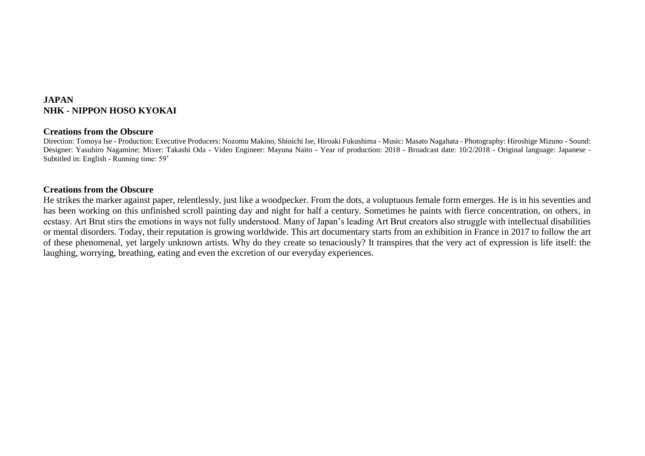# **JAPAN NHK - NIPPON HOSO KYOKAI**

#### **Creations from the Obscure**

Direction: Tomoya Ise - Production: Executive Producers: Nozomu Makino, Shinichi Ise, Hiroaki Fukushima - Music: Masato Nagahata - Photography: Hiroshige Mizuno - Sound: Designer: Yasuhiro Nagamine; Mixer: Takashi Oda - Video Engineer: Mayuna Naito - Year of production: 2018 - Broadcast date: 10/2/2018 - Original language: Japanese - Subtitled in: English - Running time: 59'

## **Creations from the Obscure**

He strikes the marker against paper, relentlessly, just like a woodpecker. From the dots, a voluptuous female form emerges. He is in his seventies and has been working on this unfinished scroll painting day and night for half a century. Sometimes he paints with fierce concentration, on others, in ecstasy. Art Brut stirs the emotions in ways not fully understood. Many of Japan's leading Art Brut creators also struggle with intellectual disabilities or mental disorders. Today, their reputation is growing worldwide. This art documentary starts from an exhibition in France in 2017 to follow the art of these phenomenal, yet largely unknown artists. Why do they create so tenaciously? It transpires that the very act of expression is life itself: the laughing, worrying, breathing, eating and even the excretion of our everyday experiences.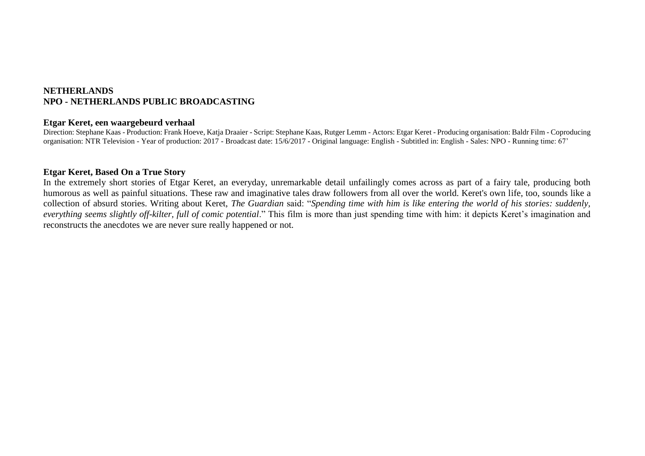## **NETHERLANDS NPO - NETHERLANDS PUBLIC BROADCASTING**

#### **Etgar Keret, een waargebeurd verhaal**

Direction: Stephane Kaas - Production: Frank Hoeve, Katja Draaier - Script: Stephane Kaas, Rutger Lemm - Actors: Etgar Keret - Producing organisation: Baldr Film - Coproducing organisation: NTR Television - Year of production: 2017 - Broadcast date: 15/6/2017 - Original language: English - Subtitled in: English - Sales: NPO - Running time: 67'

## **Etgar Keret, Based On a True Story**

In the extremely short stories of Etgar Keret, an everyday, unremarkable detail unfailingly comes across as part of a fairy tale, producing both humorous as well as painful situations. These raw and imaginative tales draw followers from all over the world. Keret's own life, too, sounds like a collection of absurd stories. Writing about Keret, *The Guardian* said: "*Spending time with him is like entering the world of his stories: suddenly, everything seems slightly off-kilter, full of comic potential*." This film is more than just spending time with him: it depicts Keret's imagination and reconstructs the anecdotes we are never sure really happened or not.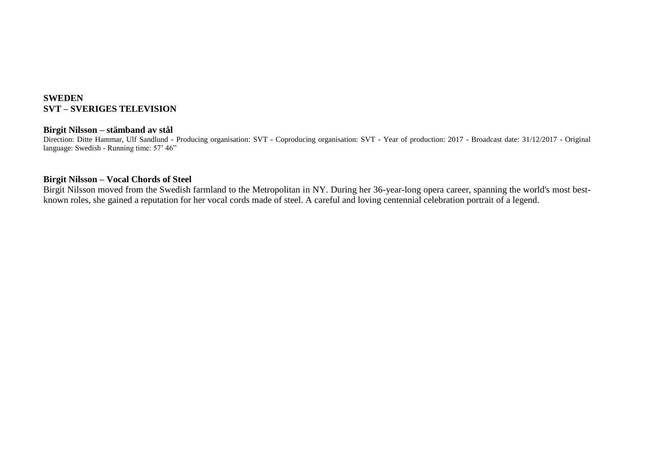# **SWEDEN SVT – SVERIGES TELEVISION**

#### **Birgit Nilsson – stämband av stål**

Direction: Ditte Hammar, Ulf Sandlund - Producing organisation: SVT - Coproducing organisation: SVT - Year of production: 2017 - Broadcast date: 31/12/2017 - Original language: Swedish - Running time: 57' 46"

## **Birgit Nilsson – Vocal Chords of Steel**

Birgit Nilsson moved from the Swedish farmland to the Metropolitan in NY. During her 36-year-long opera career, spanning the world's most bestknown roles, she gained a reputation for her vocal cords made of steel. A careful and loving centennial celebration portrait of a legend.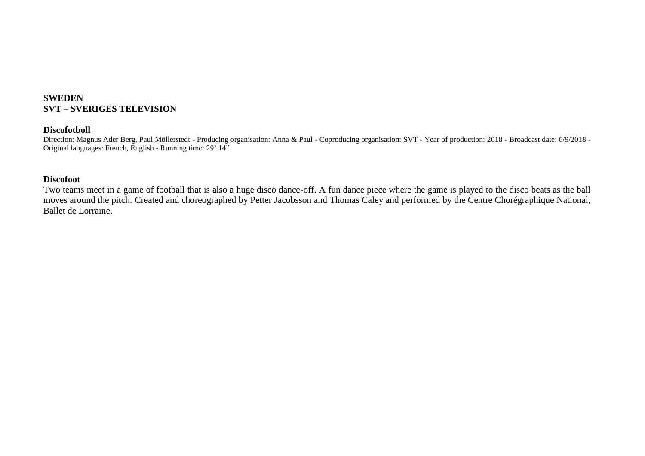# **SWEDEN SVT – SVERIGES TELEVISION**

## **Discofotboll**

Direction: Magnus Ader Berg, Paul Möllerstedt - Producing organisation: Anna & Paul - Coproducing organisation: SVT - Year of production: 2018 - Broadcast date: 6/9/2018 - Original languages: French, English - Running time: 29' 14"

## **Discofoot**

Two teams meet in a game of football that is also a huge disco dance-off. A fun dance piece where the game is played to the disco beats as the ball moves around the pitch. Created and choreographed by Petter Jacobsson and Thomas Caley and performed by the Centre Chorégraphique National, Ballet de Lorraine.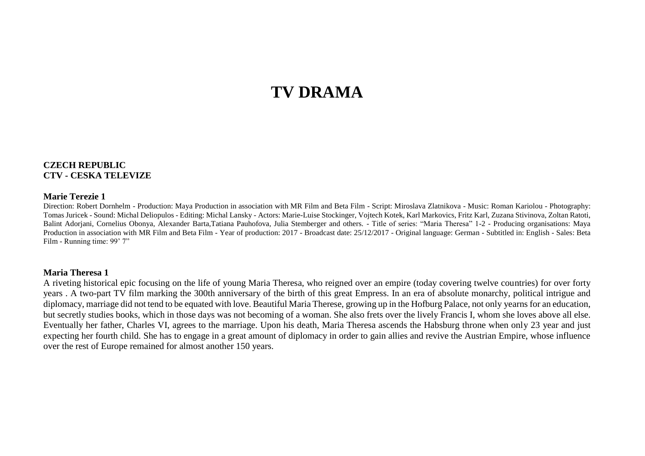# **TV DRAMA**

#### **CZECH REPUBLIC CTV - CESKA TELEVIZE**

#### **Marie Terezie 1**

Direction: Robert Dornhelm - Production: Maya Production in association with MR Film and Beta Film - Script: Miroslava Zlatnikova - Music: Roman Kariolou - Photography: Tomas Juricek - Sound: Michal Deliopulos - Editing: Michal Lansky - Actors: Marie-Luise Stockinger, Vojtech Kotek, Karl Markovics, Fritz Karl, Zuzana Stivinova, Zoltan Ratoti, Balint Adorjani, Cornelius Obonya, Alexander Barta,Tatiana Pauhofova, Julia Stemberger and others. - Title of series: "Maria Theresa" 1-2 - Producing organisations: Maya Production in association with MR Film and Beta Film - Year of production: 2017 - Broadcast date: 25/12/2017 - Original language: German - Subtitled in: English - Sales: Beta Film - Running time: 99' 7"

#### **Maria Theresa 1**

A riveting historical epic focusing on the life of young Maria Theresa, who reigned over an empire (today covering twelve countries) for over forty years . A two-part TV film marking the 300th anniversary of the birth of this great Empress. In an era of absolute monarchy, political intrigue and diplomacy, marriage did not tend to be equated with love. Beautiful Maria Therese, growing up in the Hofburg Palace, not only yearns for an education, but secretly studies books, which in those days was not becoming of a woman. She also frets over the lively Francis I, whom she loves above all else. Eventually her father, Charles VI, agrees to the marriage. Upon his death, Maria Theresa ascends the Habsburg throne when only 23 year and just expecting her fourth child. She has to engage in a great amount of diplomacy in order to gain allies and revive the Austrian Empire, whose influence over the rest of Europe remained for almost another 150 years.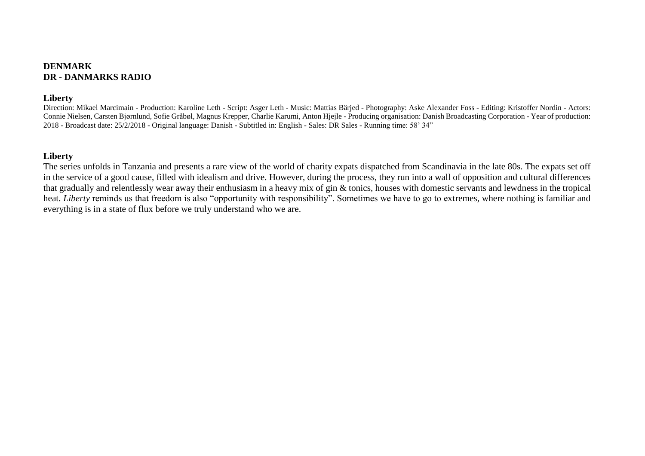## **DENMARK DR - DANMARKS RADIO**

#### **Liberty**

Direction: Mikael Marcimain - Production: Karoline Leth - Script: Asger Leth - Music: Mattias Bärjed - Photography: Aske Alexander Foss - Editing: Kristoffer Nordin - Actors: Connie Nielsen, Carsten Bjørnlund, Sofie Gråbøl, Magnus Krepper, Charlie Karumi, Anton Hjejle - Producing organisation: Danish Broadcasting Corporation - Year of production: 2018 - Broadcast date: 25/2/2018 - Original language: Danish - Subtitled in: English - Sales: DR Sales - Running time: 58' 34"

#### **Liberty**

The series unfolds in Tanzania and presents a rare view of the world of charity expats dispatched from Scandinavia in the late 80s. The expats set off in the service of a good cause, filled with idealism and drive. However, during the process, they run into a wall of opposition and cultural differences that gradually and relentlessly wear away their enthusiasm in a heavy mix of gin & tonics, houses with domestic servants and lewdness in the tropical heat. *Liberty* reminds us that freedom is also "opportunity with responsibility". Sometimes we have to go to extremes, where nothing is familiar and everything is in a state of flux before we truly understand who we are.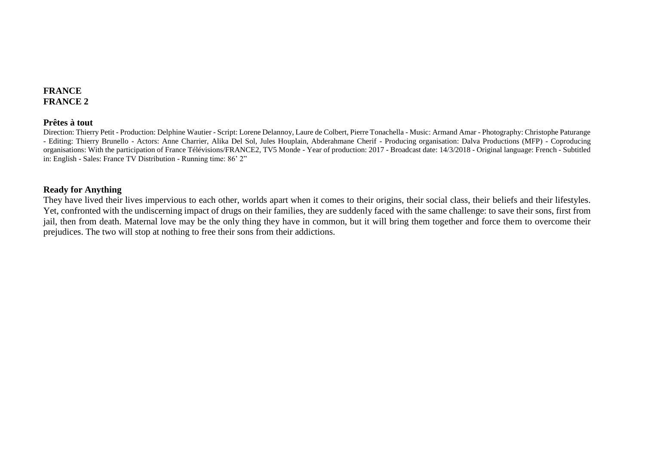## **FRANCE FRANCE 2**

#### **Prêtes à tout**

Direction: Thierry Petit - Production: Delphine Wautier - Script: Lorene Delannoy, Laure de Colbert, Pierre Tonachella - Music: Armand Amar - Photography: Christophe Paturange - Editing: Thierry Brunello - Actors: Anne Charrier, Alika Del Sol, Jules Houplain, Abderahmane Cherif - Producing organisation: Dalva Productions (MFP) - Coproducing organisations: With the participation of France Télévisions/FRANCE2, TV5 Monde - Year of production: 2017 - Broadcast date: 14/3/2018 - Original language: French - Subtitled in: English - Sales: France TV Distribution - Running time: 86' 2"

#### **Ready for Anything**

They have lived their lives impervious to each other, worlds apart when it comes to their origins, their social class, their beliefs and their lifestyles. Yet, confronted with the undiscerning impact of drugs on their families, they are suddenly faced with the same challenge: to save their sons, first from jail, then from death. Maternal love may be the only thing they have in common, but it will bring them together and force them to overcome their prejudices. The two will stop at nothing to free their sons from their addictions.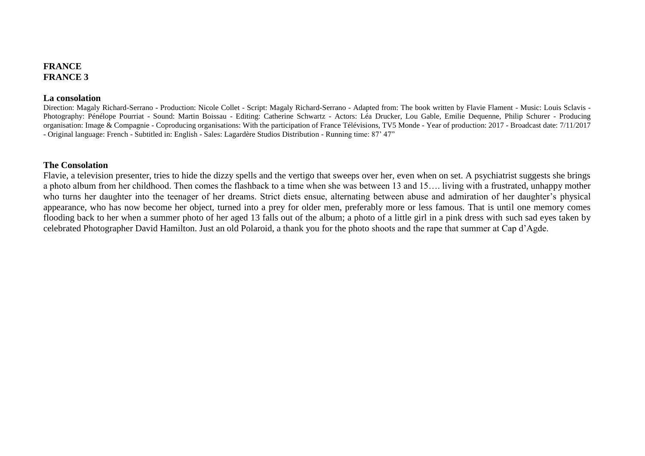#### **FRANCE FRANCE 3**

#### **La consolation**

Direction: Magaly Richard-Serrano - Production: Nicole Collet - Script: Magaly Richard-Serrano - Adapted from: The book written by Flavie Flament - Music: Louis Sclavis - Photography: Pénélope Pourriat - Sound: Martin Boissau - Editing: Catherine Schwartz - Actors: Léa Drucker, Lou Gable, Emilie Dequenne, Philip Schurer - Producing organisation: Image & Compagnie - Coproducing organisations: With the participation of France Télévisions, TV5 Monde - Year of production: 2017 - Broadcast date: 7/11/2017 - Original language: French - Subtitled in: English - Sales: Lagardère Studios Distribution - Running time: 87' 47"

#### **The Consolation**

Flavie, a television presenter, tries to hide the dizzy spells and the vertigo that sweeps over her, even when on set. A psychiatrist suggests she brings a photo album from her childhood. Then comes the flashback to a time when she was between 13 and 15…. living with a frustrated, unhappy mother who turns her daughter into the teenager of her dreams. Strict diets ensue, alternating between abuse and admiration of her daughter's physical appearance, who has now become her object, turned into a prey for older men, preferably more or less famous. That is until one memory comes flooding back to her when a summer photo of her aged 13 falls out of the album; a photo of a little girl in a pink dress with such sad eyes taken by celebrated Photographer David Hamilton. Just an old Polaroid, a thank you for the photo shoots and the rape that summer at Cap d'Agde.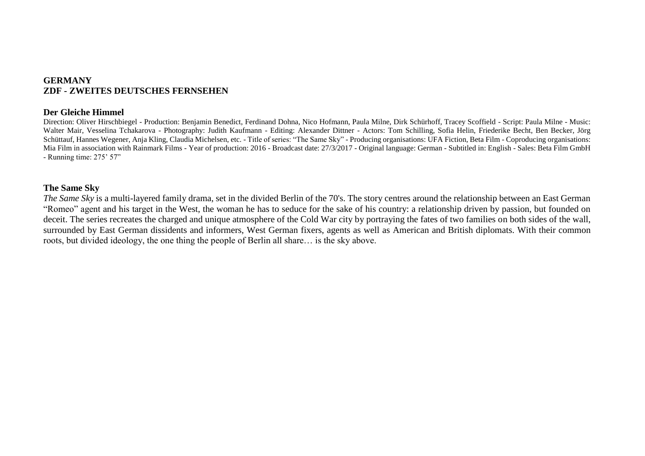## **GERMANY ZDF - ZWEITES DEUTSCHES FERNSEHEN**

#### **Der Gleiche Himmel**

Direction: Oliver Hirschbiegel - Production: Benjamin Benedict, Ferdinand Dohna, Nico Hofmann, Paula Milne, Dirk Schürhoff, Tracey Scoffield - Script: Paula Milne - Music: Walter Mair, Vesselina Tchakarova - Photography: Judith Kaufmann - Editing: Alexander Dittner - Actors: Tom Schilling, Sofia Helin, Friederike Becht, Ben Becker, Jörg Schüttauf, Hannes Wegener, Anja Kling, Claudia Michelsen, etc. - Title of series: "The Same Sky" - Producing organisations: UFA Fiction, Beta Film - Coproducing organisations: Mia Film in association with Rainmark Films - Year of production: 2016 - Broadcast date: 27/3/2017 - Original language: German - Subtitled in: English - Sales: Beta Film GmbH - Running time: 275' 57"

## **The Same Sky**

*The Same Sky* is a multi-layered family drama, set in the divided Berlin of the 70's. The story centres around the relationship between an East German "Romeo" agent and his target in the West, the woman he has to seduce for the sake of his country: a relationship driven by passion, but founded on deceit. The series recreates the charged and unique atmosphere of the Cold War city by portraying the fates of two families on both sides of the wall, surrounded by East German dissidents and informers, West German fixers, agents as well as American and British diplomats. With their common roots, but divided ideology, the one thing the people of Berlin all share… is the sky above.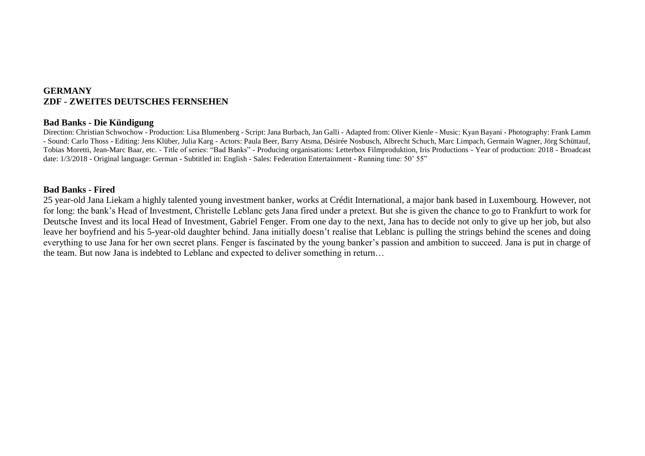## **GERMANY ZDF - ZWEITES DEUTSCHES FERNSEHEN**

#### **Bad Banks - Die Kündigung**

Direction: Christian Schwochow - Production: Lisa Blumenberg - Script: Jana Burbach, Jan Galli - Adapted from: Oliver Kienle - Music: Kyan Bayani - Photography: Frank Lamm - Sound: Carlo Thoss - Editing: Jens Klüber, Julia Karg - Actors: Paula Beer, Barry Atsma, Désirée Nosbusch, Albrecht Schuch, Marc Limpach, Germain Wagner, Jörg Schüttauf, Tobias Moretti, Jean-Marc Baar, etc. - Title of series: "Bad Banks" - Producing organisations: Letterbox Filmproduktion, Iris Productions - Year of production: 2018 - Broadcast date: 1/3/2018 - Original language: German - Subtitled in: English - Sales: Federation Entertainment - Running time: 50' 55"

#### **Bad Banks - Fired**

25 year-old Jana Liekam a highly talented young investment banker, works at Crédit International, a major bank based in Luxembourg. However, not for long: the bank's Head of Investment, Christelle Leblanc gets Jana fired under a pretext. But she is given the chance to go to Frankfurt to work for Deutsche Invest and its local Head of Investment, Gabriel Fenger. From one day to the next, Jana has to decide not only to give up her job, but also leave her boyfriend and his 5-year-old daughter behind. Jana initially doesn't realise that Leblanc is pulling the strings behind the scenes and doing everything to use Jana for her own secret plans. Fenger is fascinated by the young banker's passion and ambition to succeed. Jana is put in charge of the team. But now Jana is indebted to Leblanc and expected to deliver something in return…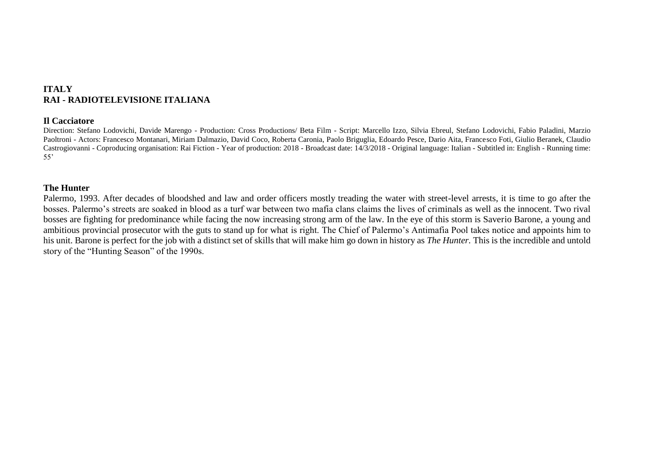# **ITALY RAI - RADIOTELEVISIONE ITALIANA**

#### **Il Cacciatore**

Direction: Stefano Lodovichi, Davide Marengo - Production: Cross Productions/ Beta Film - Script: Marcello Izzo, Silvia Ebreul, Stefano Lodovichi, Fabio Paladini, Marzio Paoltroni - Actors: Francesco Montanari, Miriam Dalmazio, David Coco, Roberta Caronia, Paolo Briguglia, Edoardo Pesce, Dario Aita, Francesco Foti, Giulio Beranek, Claudio Castrogiovanni - Coproducing organisation: Rai Fiction - Year of production: 2018 - Broadcast date: 14/3/2018 - Original language: Italian - Subtitled in: English - Running time: 55'

#### **The Hunter**

Palermo, 1993. After decades of bloodshed and law and order officers mostly treading the water with street-level arrests, it is time to go after the bosses. Palermo's streets are soaked in blood as a turf war between two mafia clans claims the lives of criminals as well as the innocent. Two rival bosses are fighting for predominance while facing the now increasing strong arm of the law. In the eye of this storm is Saverio Barone, a young and ambitious provincial prosecutor with the guts to stand up for what is right. The Chief of Palermo's Antimafia Pool takes notice and appoints him to his unit. Barone is perfect for the job with a distinct set of skills that will make him go down in history as *The Hunter.* This is the incredible and untold story of the "Hunting Season" of the 1990s.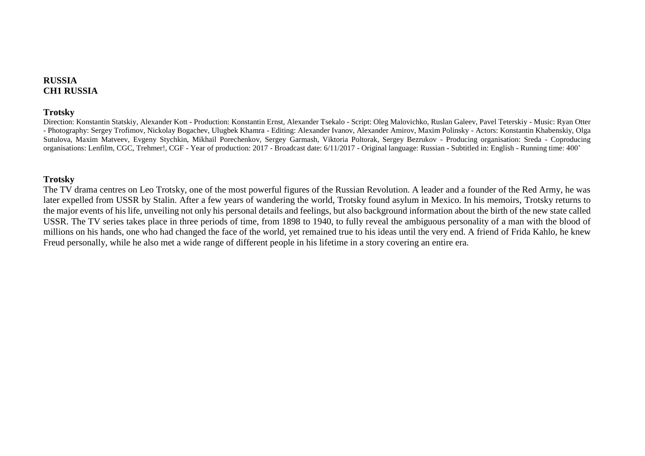## **RUSSIA CH1 RUSSIA**

#### **Trotsky**

Direction: Konstantin Statskiy, Alexander Kott - Production: Konstantin Ernst, Alexander Tsekalo - Script: Oleg Malovichko, Ruslan Galeev, Pavel Teterskiy - Music: Ryan Otter - Photography: Sergey Trofimov, Nickolay Bogachev, Ulugbek Khamra - Editing: Alexander Ivanov, Alexander Amirov, Maxim Polinsky - Actors: Konstantin Khabenskiy, Olga Sutulova, Maxim Matveev, Evgeny Stychkin, Mikhail Porechenkov, Sergey Garmash, Viktoria Poltorak, Sergey Bezrukov - Producing organisation: Sreda - Coproducing organisations: Lenfilm, CGC, Trehmer!, CGF - Year of production: 2017 - Broadcast date: 6/11/2017 - Original language: Russian - Subtitled in: English - Running time: 400'

## **Trotsky**

The TV drama centres on Leo Trotsky, one of the most powerful figures of the Russian Revolution. A leader and a founder of the Red Army, he was later expelled from USSR by Stalin. After a few years of wandering the world, Trotsky found asylum in Mexico. In his memoirs, Trotsky returns to the major events of his life, unveiling not only his personal details and feelings, but also background information about the birth of the new state called USSR. The TV series takes place in three periods of time, from 1898 to 1940, to fully reveal the ambiguous personality of a man with the blood of millions on his hands, one who had changed the face of the world, yet remained true to his ideas until the very end. A friend of Frida Kahlo, he knew Freud personally, while he also met a wide range of different people in his lifetime in a story covering an entire era.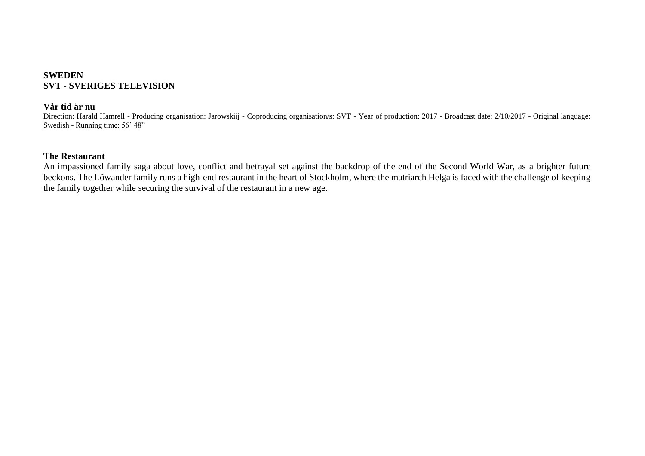## **SWEDEN SVT - SVERIGES TELEVISION**

#### **Vår tid är nu**

Direction: Harald Hamrell - Producing organisation: Jarowskiij - Coproducing organisation/s: SVT - Year of production: 2017 - Broadcast date: 2/10/2017 - Original language: Swedish - Running time: 56' 48"

## **The Restaurant**

An impassioned family saga about love, conflict and betrayal set against the backdrop of the end of the Second World War, as a brighter future beckons. The Löwander family runs a high-end restaurant in the heart of Stockholm, where the matriarch Helga is faced with the challenge of keeping the family together while securing the survival of the restaurant in a new age.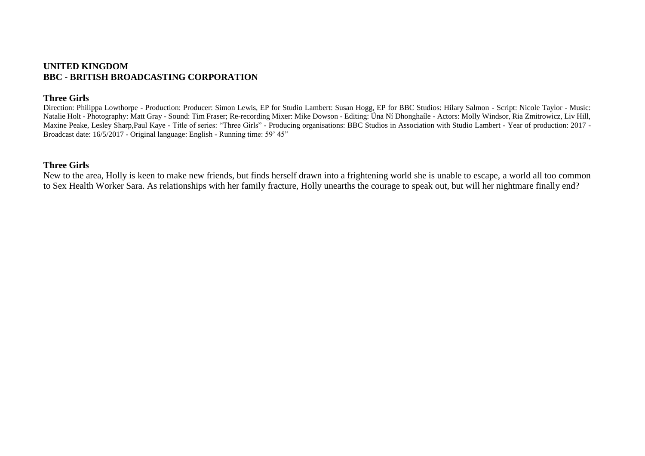#### **UNITED KINGDOM BBC - BRITISH BROADCASTING CORPORATION**

#### **Three Girls**

Direction: Philippa Lowthorpe - Production: Producer: Simon Lewis, EP for Studio Lambert: Susan Hogg, EP for BBC Studios: Hilary Salmon - Script: Nicole Taylor - Music: Natalie Holt - Photography: Matt Gray - Sound: Tim Fraser; Re-recording Mixer: Mike Dowson - Editing: Úna Ní Dhonghaíle - Actors: Molly Windsor, Ria Zmitrowicz, Liv Hill, Maxine Peake, Lesley Sharp,Paul Kaye - Title of series: "Three Girls" - Producing organisations: BBC Studios in Association with Studio Lambert - Year of production: 2017 - Broadcast date: 16/5/2017 - Original language: English - Running time: 59' 45"

#### **Three Girls**

New to the area, Holly is keen to make new friends, but finds herself drawn into a frightening world she is unable to escape, a world all too common to Sex Health Worker Sara. As relationships with her family fracture, Holly unearths the courage to speak out, but will her nightmare finally end?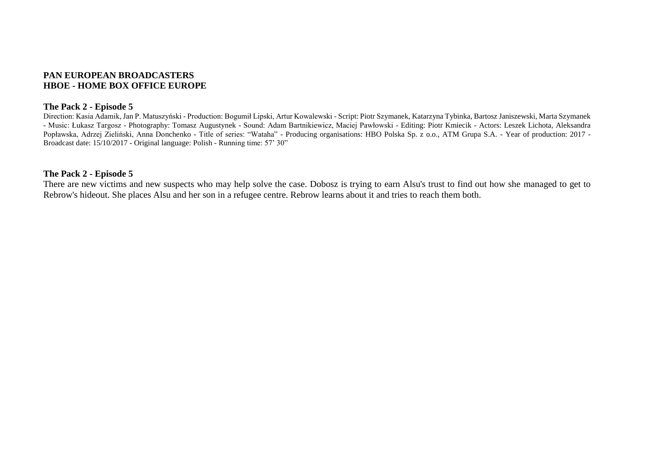## **PAN EUROPEAN BROADCASTERS HBOE - HOME BOX OFFICE EUROPE**

#### **The Pack 2 - Episode 5**

Direction: Kasia Adamik, Jan P. Matuszyński - Production: Bogumił Lipski, Artur Kowalewski - Script: Piotr Szymanek, Katarzyna Tybinka, Bartosz Janiszewski, Marta Szymanek - Music: Łukasz Targosz - Photography: Tomasz Augustynek - Sound: Adam Bartnikiewicz, Maciej Pawłowski - Editing: Piotr Kmiecik - Actors: Leszek Lichota, Aleksandra Popławska, Adrzej Zieliński, Anna Donchenko - Title of series: "Wataha" - Producing organisations: HBO Polska Sp. z o.o., ATM Grupa S.A. - Year of production: 2017 - Broadcast date: 15/10/2017 - Original language: Polish - Running time: 57' 30"

#### **The Pack 2 - Episode 5**

There are new victims and new suspects who may help solve the case. Dobosz is trying to earn Alsu's trust to find out how she managed to get to Rebrow's hideout. She places Alsu and her son in a refugee centre. Rebrow learns about it and tries to reach them both.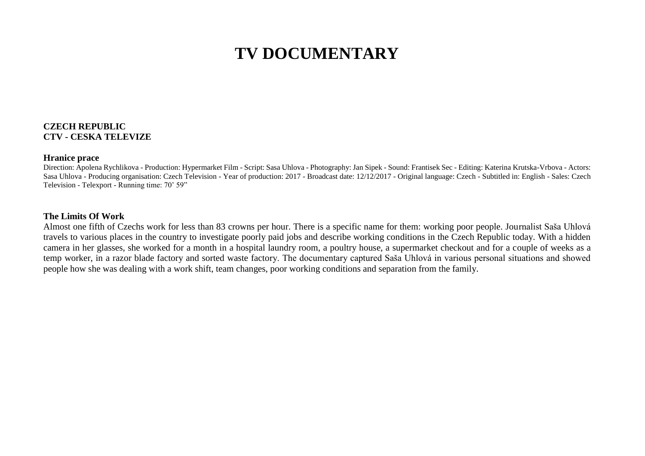# **TV DOCUMENTARY**

#### **CZECH REPUBLIC CTV - CESKA TELEVIZE**

#### **Hranice prace**

Direction: Apolena Rychlikova - Production: Hypermarket Film - Script: Sasa Uhlova - Photography: Jan Sipek - Sound: Frantisek Sec - Editing: Katerina Krutska-Vrbova - Actors: Sasa Uhlova - Producing organisation: Czech Television - Year of production: 2017 - Broadcast date: 12/12/2017 - Original language: Czech - Subtitled in: English - Sales: Czech Television - Telexport - Running time: 70' 59"

#### **The Limits Of Work**

Almost one fifth of Czechs work for less than 83 crowns per hour. There is a specific name for them: working poor people. Journalist Saša Uhlová travels to various places in the country to investigate poorly paid jobs and describe working conditions in the Czech Republic today. With a hidden camera in her glasses, she worked for a month in a hospital laundry room, a poultry house, a supermarket checkout and for a couple of weeks as a temp worker, in a razor blade factory and sorted waste factory. The documentary captured Saša Uhlová in various personal situations and showed people how she was dealing with a work shift, team changes, poor working conditions and separation from the family.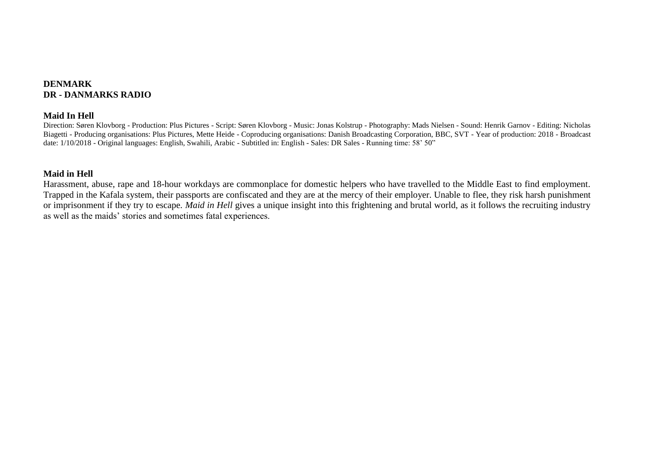## **DENMARK DR - DANMARKS RADIO**

#### **Maid In Hell**

Direction: Søren Klovborg - Production: Plus Pictures - Script: Søren Klovborg - Music: Jonas Kolstrup - Photography: Mads Nielsen - Sound: Henrik Garnov - Editing: Nicholas Biagetti - Producing organisations: Plus Pictures, Mette Heide - Coproducing organisations: Danish Broadcasting Corporation, BBC, SVT - Year of production: 2018 - Broadcast date: 1/10/2018 - Original languages: English, Swahili, Arabic - Subtitled in: English - Sales: DR Sales - Running time: 58' 50"

## **Maid in Hell**

Harassment, abuse, rape and 18-hour workdays are commonplace for domestic helpers who have travelled to the Middle East to find employment. Trapped in the Kafala system, their passports are confiscated and they are at the mercy of their employer. Unable to flee, they risk harsh punishment or imprisonment if they try to escape. *Maid in Hell* gives a unique insight into this frightening and brutal world, as it follows the recruiting industry as well as the maids' stories and sometimes fatal experiences.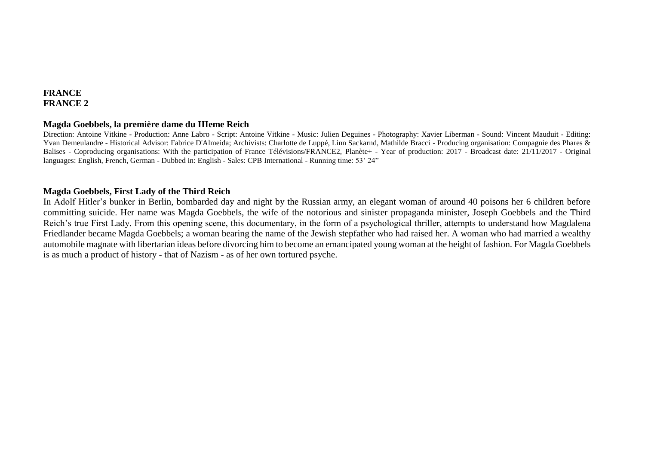# **FRANCE FRANCE 2**

#### **Magda Goebbels, la première dame du IIIeme Reich**

Direction: Antoine Vitkine - Production: Anne Labro - Script: Antoine Vitkine - Music: Julien Deguines - Photography: Xavier Liberman - Sound: Vincent Mauduit - Editing: Yvan Demeulandre - Historical Advisor: Fabrice D'Almeida; Archivists: Charlotte de Luppé, Linn Sackarnd, Mathilde Bracci - Producing organisation: Compagnie des Phares & Balises - Coproducing organisations: With the participation of France Télévisions/FRANCE2, Planète+ - Year of production: 2017 - Broadcast date: 21/11/2017 - Original languages: English, French, German - Dubbed in: English - Sales: CPB International - Running time: 53' 24"

## **Magda Goebbels, First Lady of the Third Reich**

In Adolf Hitler's bunker in Berlin, bombarded day and night by the Russian army, an elegant woman of around 40 poisons her 6 children before committing suicide. Her name was Magda Goebbels, the wife of the notorious and sinister propaganda minister, Joseph Goebbels and the Third Reich's true First Lady. From this opening scene, this documentary, in the form of a psychological thriller, attempts to understand how Magdalena Friedlander became Magda Goebbels; a woman bearing the name of the Jewish stepfather who had raised her. A woman who had married a wealthy automobile magnate with libertarian ideas before divorcing him to become an emancipated young woman at the height of fashion. For Magda Goebbels is as much a product of history - that of Nazism - as of her own tortured psyche.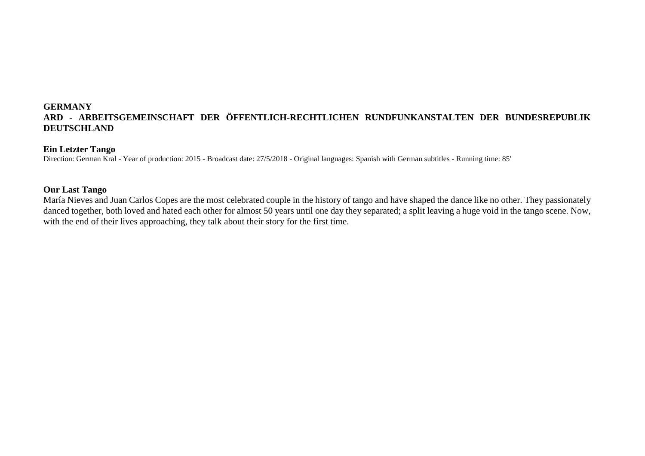#### **Ein Letzter Tango**

Direction: German Kral - Year of production: 2015 - Broadcast date: 27/5/2018 - Original languages: Spanish with German subtitles - Running time: 85'

#### **Our Last Tango**

María Nieves and Juan Carlos Copes are the most celebrated couple in the history of tango and have shaped the dance like no other. They passionately danced together, both loved and hated each other for almost 50 years until one day they separated; a split leaving a huge void in the tango scene. Now, with the end of their lives approaching, they talk about their story for the first time.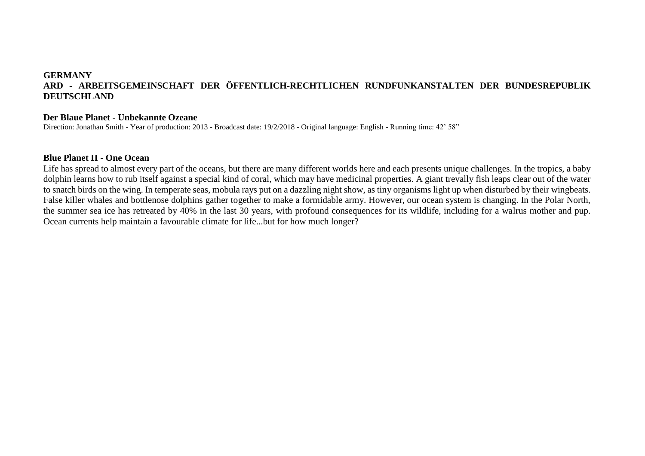#### **Der Blaue Planet - Unbekannte Ozeane**

Direction: Jonathan Smith - Year of production: 2013 - Broadcast date: 19/2/2018 - Original language: English - Running time: 42' 58"

#### **Blue Planet II - One Ocean**

Life has spread to almost every part of the oceans, but there are many different worlds here and each presents unique challenges. In the tropics, a baby dolphin learns how to rub itself against a special kind of coral, which may have medicinal properties. A giant trevally fish leaps clear out of the water to snatch birds on the wing. In temperate seas, mobula rays put on a dazzling night show, as tiny organisms light up when disturbed by their wingbeats. False killer whales and bottlenose dolphins gather together to make a formidable army. However, our ocean system is changing. In the Polar North, the summer sea ice has retreated by 40% in the last 30 years, with profound consequences for its wildlife, including for a walrus mother and pup. Ocean currents help maintain a favourable climate for life...but for how much longer?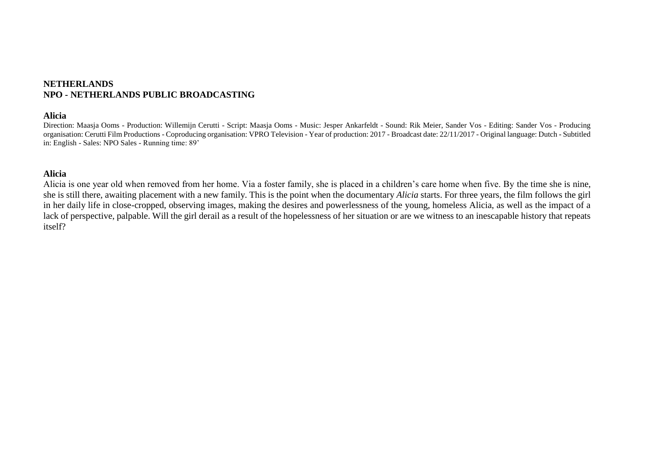## **NETHERLANDS NPO - NETHERLANDS PUBLIC BROADCASTING**

#### **Alicia**

Direction: Maasja Ooms - Production: Willemijn Cerutti - Script: Maasja Ooms - Music: Jesper Ankarfeldt - Sound: Rik Meier, Sander Vos - Editing: Sander Vos - Producing organisation: Cerutti Film Productions - Coproducing organisation: VPRO Television - Year of production: 2017 - Broadcast date: 22/11/2017 - Original language: Dutch - Subtitled in: English - Sales: NPO Sales - Running time: 89'

## **Alicia**

Alicia is one year old when removed from her home. Via a foster family, she is placed in a children's care home when five. By the time she is nine, she is still there, awaiting placement with a new family. This is the point when the documentary *Alicia* starts. For three years, the film follows the girl in her daily life in close-cropped, observing images, making the desires and powerlessness of the young, homeless Alicia, as well as the impact of a lack of perspective, palpable. Will the girl derail as a result of the hopelessness of her situation or are we witness to an inescapable history that repeats itself?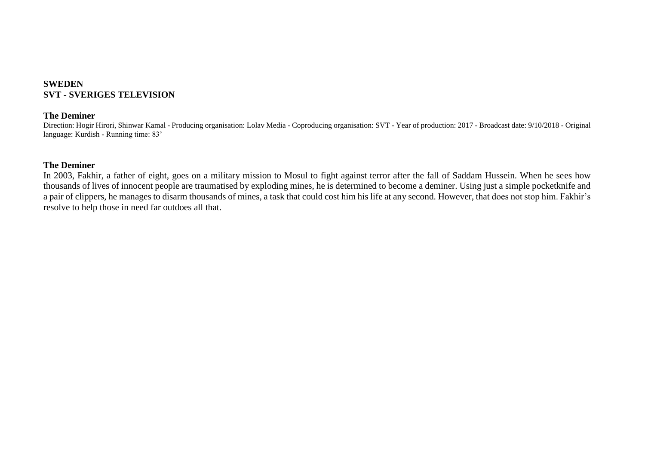## **SWEDEN SVT - SVERIGES TELEVISION**

## **The Deminer**

Direction: Hogir Hirori, Shinwar Kamal - Producing organisation: Lolav Media - Coproducing organisation: SVT - Year of production: 2017 - Broadcast date: 9/10/2018 - Original language: Kurdish - Running time: 83'

#### **The Deminer**

In 2003, Fakhir, a father of eight, goes on a military mission to Mosul to fight against terror after the fall of Saddam Hussein. When he sees how thousands of lives of innocent people are traumatised by exploding mines, he is determined to become a deminer. Using just a simple pocketknife and a pair of clippers, he manages to disarm thousands of mines, a task that could cost him his life at any second. However, that does not stop him. Fakhir's resolve to help those in need far outdoes all that.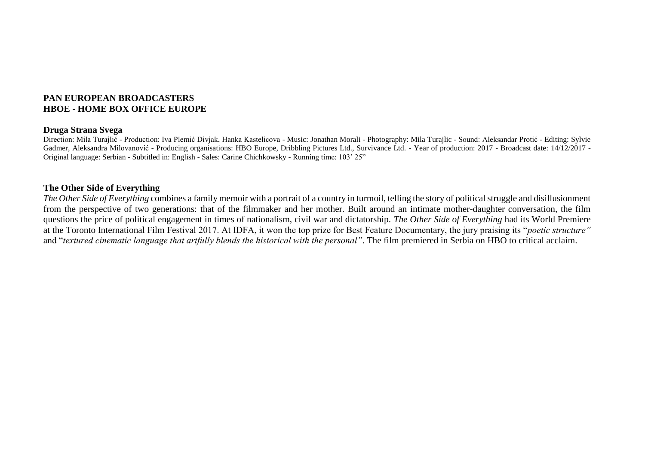## **PAN EUROPEAN BROADCASTERS HBOE - HOME BOX OFFICE EUROPE**

#### **Druga Strana Svega**

Direction: Mila Turajlić - Production: Iva Plemić Divjak, Hanka Kastelicova - Music: Jonathan Morali - Photography: Mila Turajlic - Sound: Aleksandar Protić - Editing: Sylvie Gadmer, Aleksandra Milovanović - Producing organisations: HBO Europe, Dribbling Pictures Ltd., Survivance Ltd. - Year of production: 2017 - Broadcast date: 14/12/2017 -Original language: Serbian - Subtitled in: English - Sales: Carine Chichkowsky - Running time: 103' 25"

## **The Other Side of Everything**

*The Other Side of Everything* combines a family memoir with a portrait of a country in turmoil, telling the story of political struggle and disillusionment from the perspective of two generations: that of the filmmaker and her mother. Built around an intimate mother-daughter conversation, the film questions the price of political engagement in times of nationalism, civil war and dictatorship. *The Other Side of Everything* had its World Premiere at the Toronto International Film Festival 2017. At IDFA, it won the top prize for Best Feature Documentary, the jury praising its "*poetic structure"* and "*textured cinematic language that artfully blends the historical with the personal"*. The film premiered in Serbia on HBO to critical acclaim.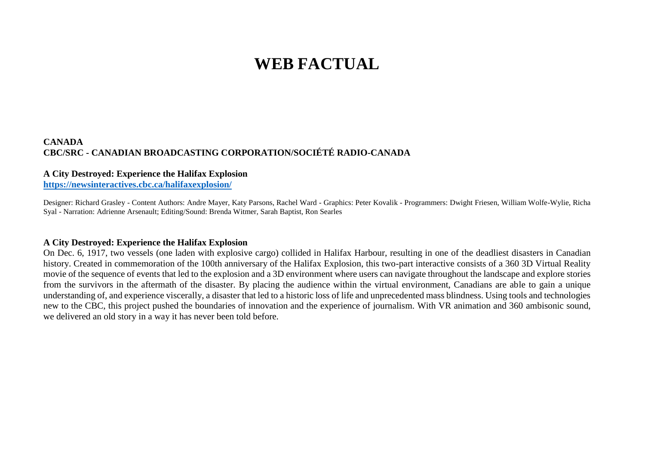# **WEB FACTUAL**

#### **CANADA CBC/SRC - CANADIAN BROADCASTING CORPORATION/SOCIÉTÉ RADIO-CANADA**

## **A City Destroyed: Experience the Halifax Explosion**

**<https://newsinteractives.cbc.ca/halifaxexplosion/>**

Designer: Richard Grasley - Content Authors: Andre Mayer, Katy Parsons, Rachel Ward - Graphics: Peter Kovalik - Programmers: Dwight Friesen, William Wolfe-Wylie, Richa Syal - Narration: Adrienne Arsenault; Editing/Sound: Brenda Witmer, Sarah Baptist, Ron Searles

#### **A City Destroyed: Experience the Halifax Explosion**

On Dec. 6, 1917, two vessels (one laden with explosive cargo) collided in Halifax Harbour, resulting in one of the deadliest disasters in Canadian history. Created in commemoration of the 100th anniversary of the Halifax Explosion, this two-part interactive consists of a 360 3D Virtual Reality movie of the sequence of events that led to the explosion and a 3D environment where users can navigate throughout the landscape and explore stories from the survivors in the aftermath of the disaster. By placing the audience within the virtual environment, Canadians are able to gain a unique understanding of, and experience viscerally, a disaster that led to a historic loss of life and unprecedented mass blindness. Using tools and technologies new to the CBC, this project pushed the boundaries of innovation and the experience of journalism. With VR animation and 360 ambisonic sound, we delivered an old story in a way it has never been told before.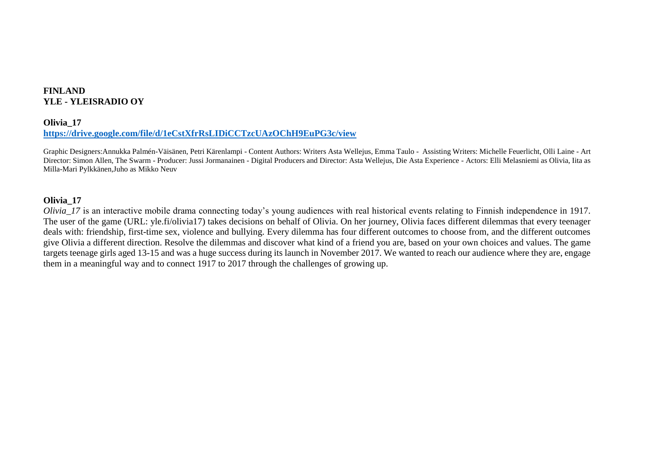## **FINLAND YLE - YLEISRADIO OY**

#### **Olivia\_17**

#### **<https://drive.google.com/file/d/1eCstXfrRsLIDiCCTzcUAzOChH9EuPG3c/view>**

Graphic Designers:Annukka Palmén-Väisänen, Petri Kärenlampi - Content Authors: Writers Asta Wellejus, Emma Taulo - Assisting Writers: Michelle Feuerlicht, Olli Laine - Art Director: Simon Allen, The Swarm - Producer: Jussi Jormanainen - Digital Producers and Director: Asta Wellejus, Die Asta Experience - Actors: Elli Melasniemi as Olivia, Iita as Milla-Mari Pylkkänen,Juho as Mikko Neuv

#### **Olivia\_17**

*Olivia 17* is an interactive mobile drama connecting today's young audiences with real historical events relating to Finnish independence in 1917. The user of the game (URL: yle.fi/olivia17) takes decisions on behalf of Olivia. On her journey, Olivia faces different dilemmas that every teenager deals with: friendship, first-time sex, violence and bullying. Every dilemma has four different outcomes to choose from, and the different outcomes give Olivia a different direction. Resolve the dilemmas and discover what kind of a friend you are, based on your own choices and values. The game targets teenage girls aged 13-15 and was a huge success during its launch in November 2017. We wanted to reach our audience where they are, engage them in a meaningful way and to connect 1917 to 2017 through the challenges of growing up.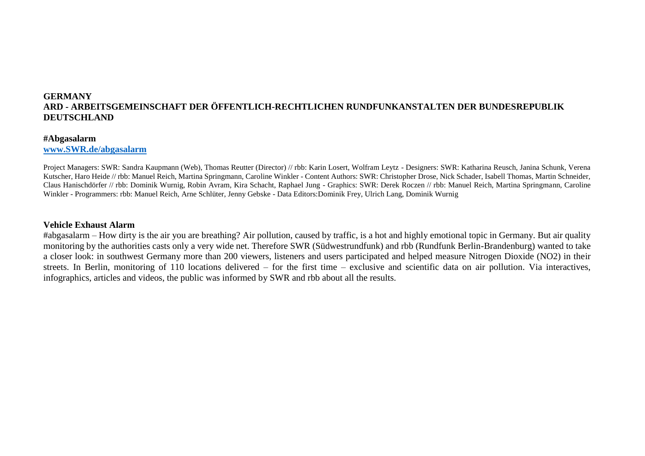#### **#Abgasalarm**

**[www.SWR.de/abgasalarm](http://www.swr.de/abgasalarm)**

Project Managers: SWR: Sandra Kaupmann (Web), Thomas Reutter (Director) // rbb: Karin Losert, Wolfram Leytz - Designers: SWR: Katharina Reusch, Janina Schunk, Verena Kutscher, Haro Heide // rbb: Manuel Reich, Martina Springmann, Caroline Winkler - Content Authors: SWR: Christopher Drose, Nick Schader, Isabell Thomas, Martin Schneider, Claus Hanischdörfer // rbb: Dominik Wurnig, Robin Avram, Kira Schacht, Raphael Jung - Graphics: SWR: Derek Roczen // rbb: Manuel Reich, Martina Springmann, Caroline Winkler - Programmers: rbb: Manuel Reich, Arne Schlüter, Jenny Gebske - Data Editors:Dominik Frey, Ulrich Lang, Dominik Wurnig

#### **Vehicle Exhaust Alarm**

#abgasalarm – How dirty is the air you are breathing? Air pollution, caused by traffic, is a hot and highly emotional topic in Germany. But air quality monitoring by the authorities casts only a very wide net. Therefore SWR (Südwestrundfunk) and rbb (Rundfunk Berlin-Brandenburg) wanted to take a closer look: in southwest Germany more than 200 viewers, listeners and users participated and helped measure Nitrogen Dioxide (NO2) in their streets. In Berlin, monitoring of 110 locations delivered – for the first time – exclusive and scientific data on air pollution. Via interactives, infographics, articles and videos, the public was informed by SWR and rbb about all the results.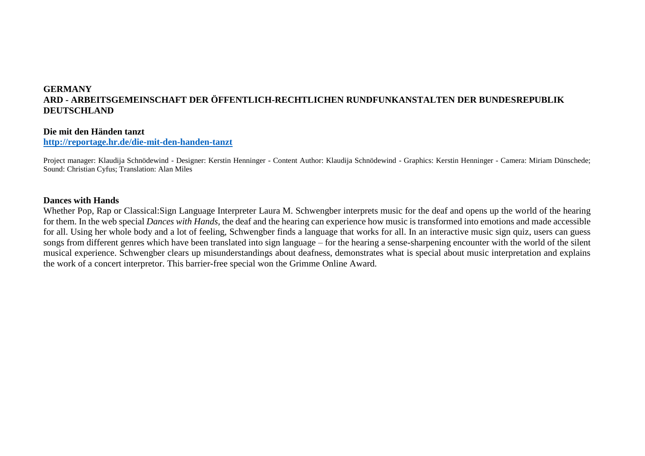#### **Die mit den Händen tanzt**

**<http://reportage.hr.de/die-mit-den-handen-tanzt>**

Project manager: Klaudija Schnödewind - Designer: Kerstin Henninger - Content Author: Klaudija Schnödewind - Graphics: Kerstin Henninger - Camera: Miriam Dünschede; Sound: Christian Cyfus; Translation: Alan Miles

#### **Dances with Hands**

Whether Pop, Rap or Classical:Sign Language Interpreter Laura M. Schwengber interprets music for the deaf and opens up the world of the hearing for them. In the web special *Dances with Hands,* the deaf and the hearing can experience how music is transformed into emotions and made accessible for all. Using her whole body and a lot of feeling, Schwengber finds a language that works for all. In an interactive music sign quiz, users can guess songs from different genres which have been translated into sign language – for the hearing a sense-sharpening encounter with the world of the silent musical experience. Schwengber clears up misunderstandings about deafness, demonstrates what is special about music interpretation and explains the work of a concert interpretor. This barrier-free special won the Grimme Online Award.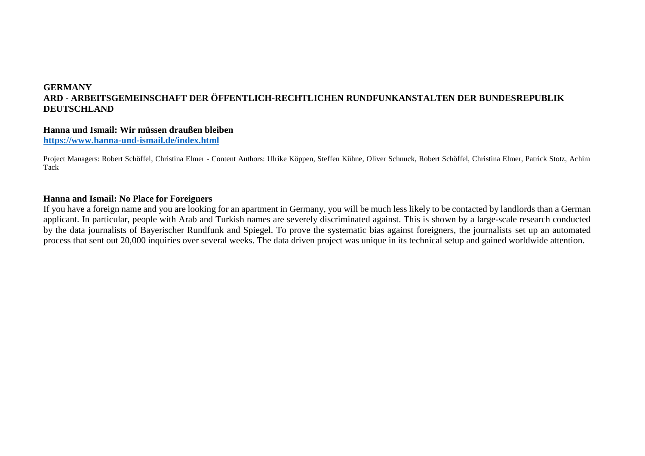## **Hanna und Ismail: Wir müssen draußen bleiben**

**<https://www.hanna-und-ismail.de/index.html>**

Project Managers: Robert Schöffel, Christina Elmer - Content Authors: Ulrike Köppen, Steffen Kühne, Oliver Schnuck, Robert Schöffel, Christina Elmer, Patrick Stotz, Achim Tack

## **Hanna and Ismail: No Place for Foreigners**

If you have a foreign name and you are looking for an apartment in Germany, you will be much less likely to be contacted by landlords than a German applicant. In particular, people with Arab and Turkish names are severely discriminated against. This is shown by a large-scale research conducted by the data journalists of Bayerischer Rundfunk and Spiegel. To prove the systematic bias against foreigners, the journalists set up an automated process that sent out 20,000 inquiries over several weeks. The data driven project was unique in its technical setup and gained worldwide attention.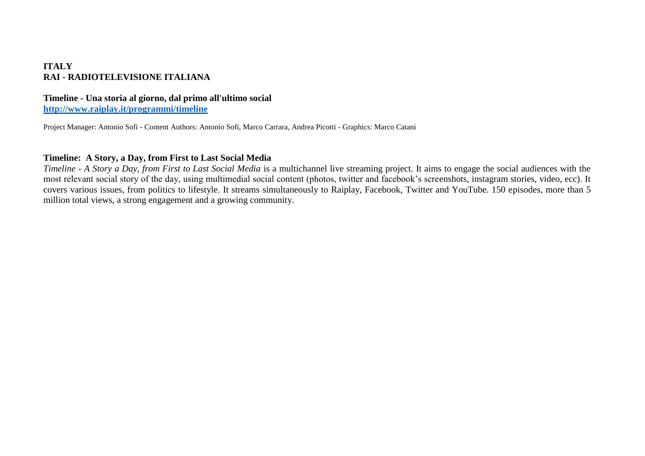## **ITALY RAI - RADIOTELEVISIONE ITALIANA**

## **Timeline - Una storia al giorno, dal primo all'ultimo social**

**<http://www.raiplay.it/programmi/timeline>**

Project Manager: Antonio Sofi - Content Authors: Antonio Sofi, Marco Carrara, Andrea Picotti - Graphics: Marco Catani

# **Timeline: A Story, a Day, from First to Last Social Media**

*Timeline - A Story a Day, from First to Last Social Media* is a multichannel live streaming project. It aims to engage the social audiences with the most relevant social story of the day, using multimedial social content (photos, twitter and facebook's screenshots, instagram stories, video, ecc). It covers various issues, from politics to lifestyle. It streams simultaneously to Raiplay, Facebook, Twitter and YouTube. 150 episodes, more than 5 million total views, a strong engagement and a growing community.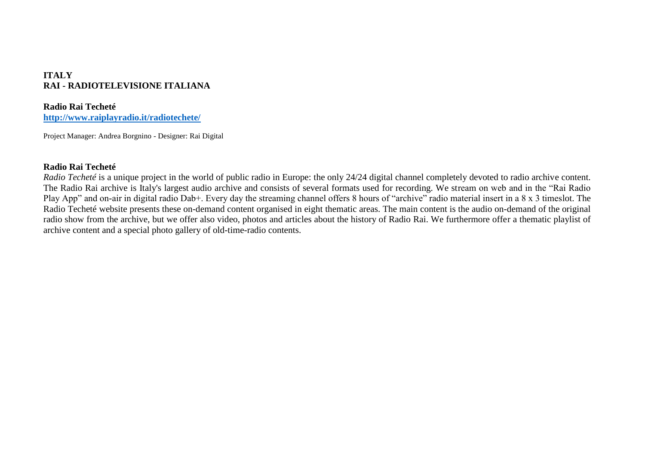# **ITALY RAI - RADIOTELEVISIONE ITALIANA**

## **Radio Rai Techeté**

**<http://www.raiplayradio.it/radiotechete/>**

Project Manager: Andrea Borgnino - Designer: Rai Digital

#### **Radio Rai Techeté**

*Radio Techeté* is a unique project in the world of public radio in Europe: the only 24/24 digital channel completely devoted to radio archive content. The Radio Rai archive is Italy's largest audio archive and consists of several formats used for recording. We stream on web and in the "Rai Radio Play App" and on-air in digital radio Dab+. Every day the streaming channel offers 8 hours of "archive" radio material insert in a 8 x 3 timeslot. The Radio Techeté website presents these on-demand content organised in eight thematic areas. The main content is the audio on-demand of the original radio show from the archive, but we offer also video, photos and articles about the history of Radio Rai. We furthermore offer a thematic playlist of archive content and a special photo gallery of old-time-radio contents.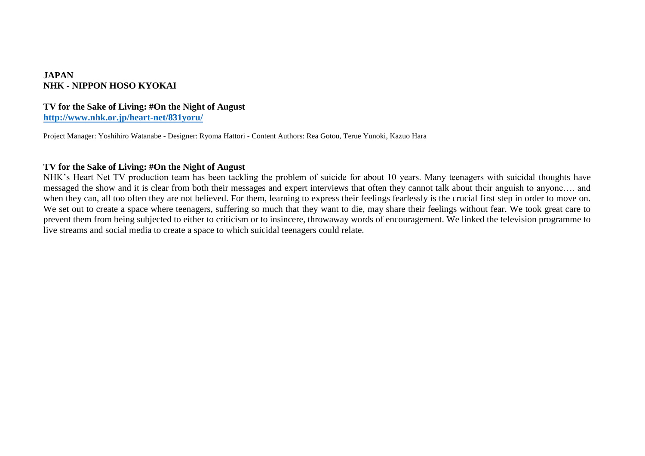## **JAPAN NHK - NIPPON HOSO KYOKAI**

#### **TV for the Sake of Living: #On the Night of August <http://www.nhk.or.jp/heart-net/831yoru/>**

Project Manager: Yoshihiro Watanabe - Designer: Ryoma Hattori - Content Authors: Rea Gotou, Terue Yunoki, Kazuo Hara

#### **TV for the Sake of Living: #On the Night of August**

NHK's Heart Net TV production team has been tackling the problem of suicide for about 10 years. Many teenagers with suicidal thoughts have messaged the show and it is clear from both their messages and expert interviews that often they cannot talk about their anguish to anyone…. and when they can, all too often they are not believed. For them, learning to express their feelings fearlessly is the crucial first step in order to move on. We set out to create a space where teenagers, suffering so much that they want to die, may share their feelings without fear. We took great care to prevent them from being subjected to either to criticism or to insincere, throwaway words of encouragement. We linked the television programme to live streams and social media to create a space to which suicidal teenagers could relate.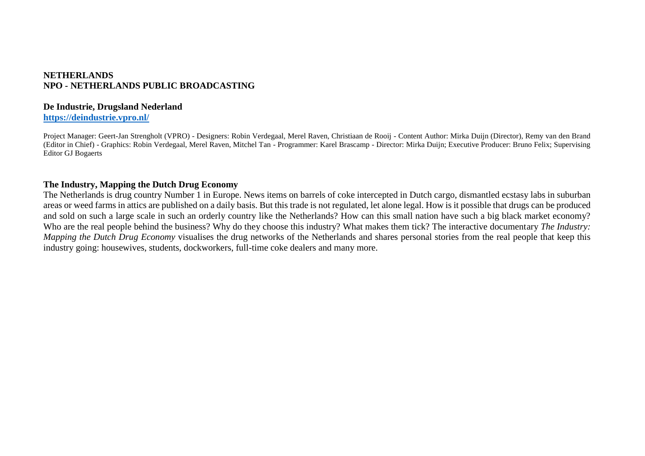## **NETHERLANDS NPO - NETHERLANDS PUBLIC BROADCASTING**

## **De Industrie, Drugsland Nederland**

## **<https://deindustrie.vpro.nl/>**

Project Manager: Geert-Jan Strengholt (VPRO) - Designers: Robin Verdegaal, Merel Raven, Christiaan de Rooij - Content Author: Mirka Duijn (Director), Remy van den Brand (Editor in Chief) - Graphics: Robin Verdegaal, Merel Raven, Mitchel Tan - Programmer: Karel Brascamp - Director: Mirka Duijn; Executive Producer: Bruno Felix; Supervising Editor GJ Bogaerts

## **The Industry, Mapping the Dutch Drug Economy**

The Netherlands is drug country Number 1 in Europe. News items on barrels of coke intercepted in Dutch cargo, dismantled ecstasy labs in suburban areas or weed farms in attics are published on a daily basis. But this trade is not regulated, let alone legal. How is it possible that drugs can be produced and sold on such a large scale in such an orderly country like the Netherlands? How can this small nation have such a big black market economy? Who are the real people behind the business? Why do they choose this industry? What makes them tick? The interactive documentary *The Industry: Mapping the Dutch Drug Economy* visualises the drug networks of the Netherlands and shares personal stories from the real people that keep this industry going: housewives, students, dockworkers, full-time coke dealers and many more.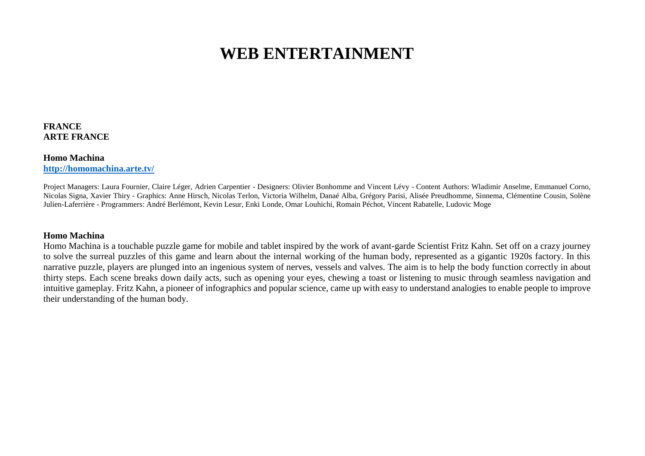# **WEB ENTERTAINMENT**

## **FRANCE ARTE FRANCE**

#### **Homo Machina <http://homomachina.arte.tv/>**

Project Managers: Laura Fournier, Claire Léger, Adrien Carpentier - Designers: Olivier Bonhomme and Vincent Lévy - Content Authors: Wladimir Anselme, Emmanuel Corno, Nicolas Signa, Xavier Thiry - Graphics: Anne Hirsch, Nicolas Terlon, Victoria Wilhelm, Danaé Alba, Grégory Parisi, Alisée Preudhomme, Sinnema, Clémentine Cousin, Solène Julien-Laferrière - Programmers: André Berlémont, Kevin Lesur, Enki Londe, Omar Louhichi, Romain Péchot, Vincent Rabatelle, Ludovic Moge

## **Homo Machina**

Homo Machina is a touchable puzzle game for mobile and tablet inspired by the work of avant-garde Scientist Fritz Kahn. Set off on a crazy journey to solve the surreal puzzles of this game and learn about the internal working of the human body, represented as a gigantic 1920s factory. In this narrative puzzle, players are plunged into an ingenious system of nerves, vessels and valves. The aim is to help the body function correctly in about thirty steps. Each scene breaks down daily acts, such as opening your eyes, chewing a toast or listening to music through seamless navigation and intuitive gameplay. Fritz Kahn, a pioneer of infographics and popular science, came up with easy to understand analogies to enable people to improve their understanding of the human body.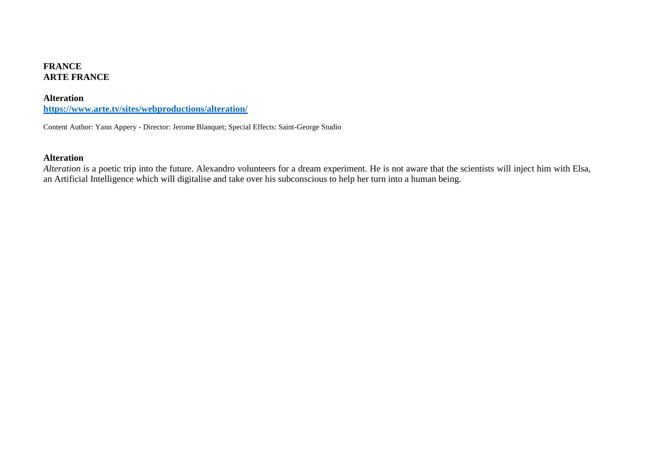## **FRANCE ARTE FRANCE**

#### **Alteration**

**<https://www.arte.tv/sites/webproductions/alteration/>**

Content Author: Yann Appery - Director: Jerome Blanquet; Special Effects: Saint-George Studio

## **Alteration**

*Alteration* is a poetic trip into the future. Alexandro volunteers for a dream experiment. He is not aware that the scientists will inject him with Elsa, an Artificial Intelligence which will digitalise and take over his subconscious to help her turn into a human being.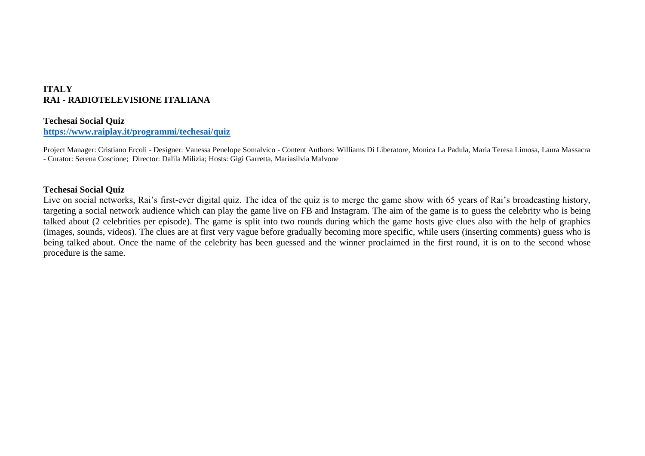# **ITALY RAI - RADIOTELEVISIONE ITALIANA**

## **Techesai Social Quiz**

**<https://www.raiplay.it/programmi/techesai/quiz>**

Project Manager: Cristiano Ercoli - Designer: Vanessa Penelope Somalvico - Content Authors: Williams Di Liberatore, Monica La Padula, Maria Teresa Limosa, Laura Massacra - Curator: Serena Coscione; Director: Dalila Milizia; Hosts: Gigi Garretta, Mariasilvia Malvone

## **Techesai Social Quiz**

Live on social networks, Rai's first-ever digital quiz. The idea of the quiz is to merge the game show with 65 years of Rai's broadcasting history, targeting a social network audience which can play the game live on FB and Instagram. The aim of the game is to guess the celebrity who is being talked about (2 celebrities per episode). The game is split into two rounds during which the game hosts give clues also with the help of graphics (images, sounds, videos). The clues are at first very vague before gradually becoming more specific, while users (inserting comments) guess who is being talked about. Once the name of the celebrity has been guessed and the winner proclaimed in the first round, it is on to the second whose procedure is the same.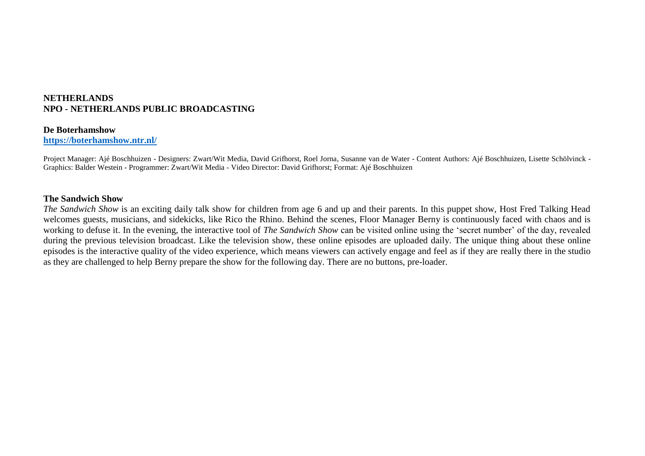## **NETHERLANDS NPO - NETHERLANDS PUBLIC BROADCASTING**

#### **De Boterhamshow**

**<https://boterhamshow.ntr.nl/>**

Project Manager: Ajé Boschhuizen - Designers: Zwart/Wit Media, David Grifhorst, Roel Jorna, Susanne van de Water - Content Authors: Ajé Boschhuizen, Lisette Schölvinck - Graphics: Balder Westein - Programmer: Zwart/Wit Media - Video Director: David Grifhorst; Format: Ajé Boschhuizen

#### **The Sandwich Show**

*The Sandwich Show* is an exciting daily talk show for children from age 6 and up and their parents. In this puppet show, Host Fred Talking Head welcomes guests, musicians, and sidekicks, like Rico the Rhino. Behind the scenes, Floor Manager Berny is continuously faced with chaos and is working to defuse it. In the evening, the interactive tool of *The Sandwich Show* can be visited online using the 'secret number' of the day, revealed during the previous television broadcast. Like the television show, these online episodes are uploaded daily. The unique thing about these online episodes is the interactive quality of the video experience, which means viewers can actively engage and feel as if they are really there in the studio as they are challenged to help Berny prepare the show for the following day. There are no buttons, pre-loader.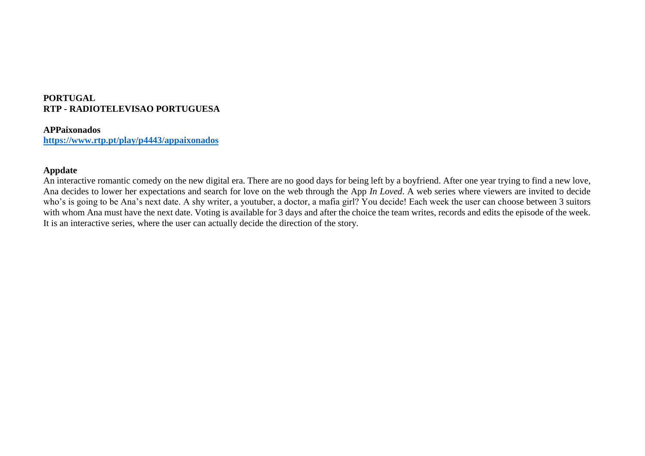# **PORTUGAL RTP - RADIOTELEVISAO PORTUGUESA**

## **APPaixonados**

**<https://www.rtp.pt/play/p4443/appaixonados>**

## **Appdate**

An interactive romantic comedy on the new digital era. There are no good days for being left by a boyfriend. After one year trying to find a new love, Ana decides to lower her expectations and search for love on the web through the App *In Loved*. A web series where viewers are invited to decide who's is going to be Ana's next date. A shy writer, a youtuber, a doctor, a mafia girl? You decide! Each week the user can choose between 3 suitors with whom Ana must have the next date. Voting is available for 3 days and after the choice the team writes, records and edits the episode of the week. It is an interactive series, where the user can actually decide the direction of the story.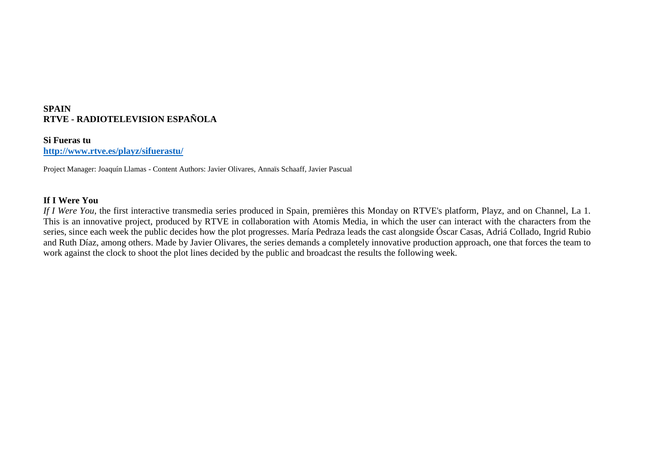## **SPAIN RTVE - RADIOTELEVISION ESPAÑOLA**

**Si Fueras tu <http://www.rtve.es/playz/sifuerastu/>**

Project Manager: Joaquín Llamas - Content Authors: Javier Olivares, Annaïs Schaaff, Javier Pascual

## **If I Were You**

*If I Were You*, the first interactive transmedia series produced in Spain, premières this Monday on RTVE's platform, Playz, and on Channel, La 1. This is an innovative project, produced by RTVE in collaboration with Atomis Media, in which the user can interact with the characters from the series, since each week the public decides how the plot progresses. María Pedraza leads the cast alongside Óscar Casas, Adriá Collado, Ingrid Rubio and Ruth Díaz, among others. Made by Javier Olivares, the series demands a completely innovative production approach, one that forces the team to work against the clock to shoot the plot lines decided by the public and broadcast the results the following week.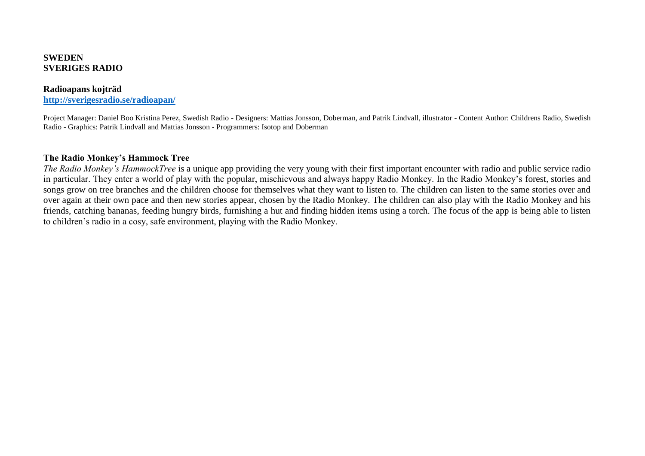## **SWEDEN SVERIGES RADIO**

#### **Radioapans kojträd <http://sverigesradio.se/radioapan/>**

Project Manager: Daniel Boo Kristina Perez, Swedish Radio - Designers: Mattias Jonsson, Doberman, and Patrik Lindvall, illustrator - Content Author: Childrens Radio, Swedish Radio - Graphics: Patrik Lindvall and Mattias Jonsson - Programmers: Isotop and Doberman

## **The Radio Monkey's Hammock Tree**

*The Radio Monkey's HammockTree* is a unique app providing the very young with their first important encounter with radio and public service radio in particular. They enter a world of play with the popular, mischievous and always happy Radio Monkey. In the Radio Monkey's forest, stories and songs grow on tree branches and the children choose for themselves what they want to listen to. The children can listen to the same stories over and over again at their own pace and then new stories appear, chosen by the Radio Monkey. The children can also play with the Radio Monkey and his friends, catching bananas, feeding hungry birds, furnishing a hut and finding hidden items using a torch. The focus of the app is being able to listen to children's radio in a cosy, safe environment, playing with the Radio Monkey.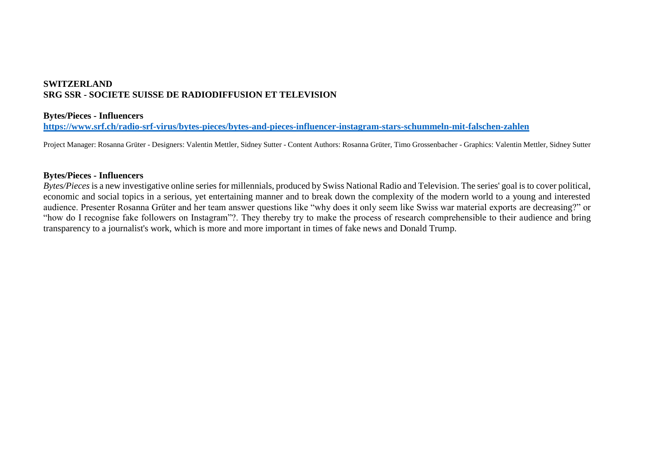## **SWITZERLAND SRG SSR - SOCIETE SUISSE DE RADIODIFFUSION ET TELEVISION**

## **Bytes/Pieces - Influencers**

**<https://www.srf.ch/radio-srf-virus/bytes-pieces/bytes-and-pieces-influencer-instagram-stars-schummeln-mit-falschen-zahlen>**

Project Manager: Rosanna Grüter - Designers: Valentin Mettler, Sidney Sutter - Content Authors: Rosanna Grüter, Timo Grossenbacher - Graphics: Valentin Mettler, Sidney Sutter

## **Bytes/Pieces - Influencers**

*Bytes/Pieces* is a new investigative online series for millennials, produced by Swiss National Radio and Television. The series' goal is to cover political, economic and social topics in a serious, yet entertaining manner and to break down the complexity of the modern world to a young and interested audience. Presenter Rosanna Grüter and her team answer questions like "why does it only seem like Swiss war material exports are decreasing?" or "how do I recognise fake followers on Instagram"?. They thereby try to make the process of research comprehensible to their audience and bring transparency to a journalist's work, which is more and more important in times of fake news and Donald Trump.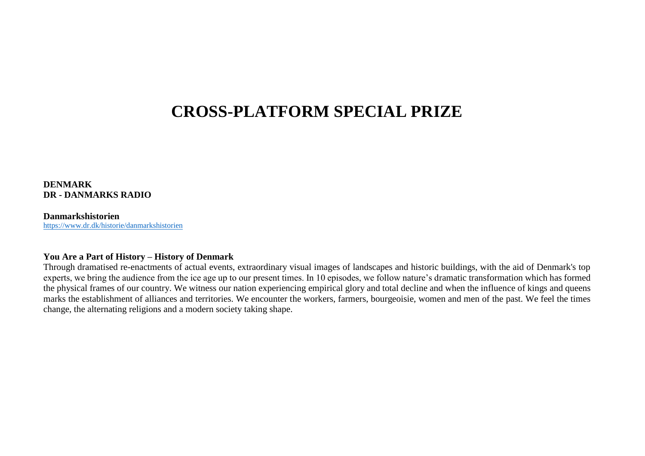# **CROSS-PLATFORM SPECIAL PRIZE**

**DENMARK DR - DANMARKS RADIO**

#### **Danmarkshistorien** <https://www.dr.dk/historie/danmarkshistorien>

#### **You Are a Part of History – History of Denmark**

Through dramatised re-enactments of actual events, extraordinary visual images of landscapes and historic buildings, with the aid of Denmark's top experts, we bring the audience from the ice age up to our present times. In 10 episodes, we follow nature's dramatic transformation which has formed the physical frames of our country. We witness our nation experiencing empirical glory and total decline and when the influence of kings and queens marks the establishment of alliances and territories. We encounter the workers, farmers, bourgeoisie, women and men of the past. We feel the times change, the alternating religions and a modern society taking shape.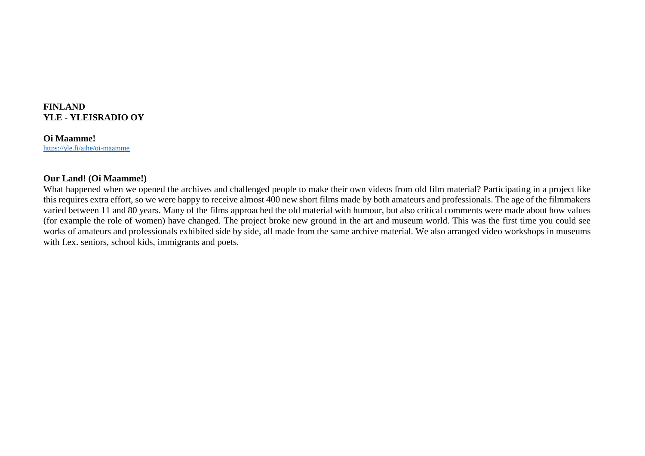## **FINLAND YLE - YLEISRADIO OY**

**Oi Maamme!** <https://yle.fi/aihe/oi-maamme>

### **Our Land! (Oi Maamme!)**

What happened when we opened the archives and challenged people to make their own videos from old film material? Participating in a project like this requires extra effort, so we were happy to receive almost 400 new short films made by both amateurs and professionals. The age of the filmmakers varied between 11 and 80 years. Many of the films approached the old material with humour, but also critical comments were made about how values (for example the role of women) have changed. The project broke new ground in the art and museum world. This was the first time you could see works of amateurs and professionals exhibited side by side, all made from the same archive material. We also arranged video workshops in museums with f.ex. seniors, school kids, immigrants and poets.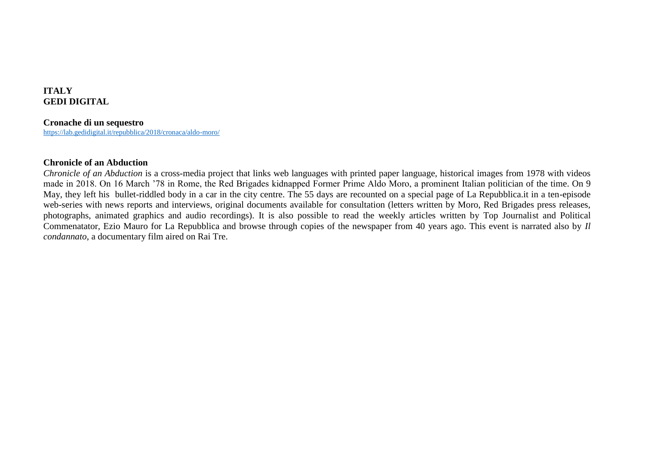# **ITALY GEDI DIGITAL**

### **Cronache di un sequestro**

<https://lab.gedidigital.it/repubblica/2018/cronaca/aldo-moro/>

### **Chronicle of an Abduction**

*Chronicle of an Abduction* is a cross-media project that links web languages with printed paper language, historical images from 1978 with videos made in 2018. On 16 March '78 in Rome, the Red Brigades kidnapped Former Prime Aldo Moro, a prominent Italian politician of the time. On 9 May, they left his bullet-riddled body in a car in the city centre. The 55 days are recounted on a special page of La Repubblica.it in a ten-episode web-series with news reports and interviews, original documents available for consultation (letters written by Moro, Red Brigades press releases, photographs, animated graphics and audio recordings). It is also possible to read the weekly articles written by Top Journalist and Political Commenatator, Ezio Mauro for La Repubblica and browse through copies of the newspaper from 40 years ago. This event is narrated also by *Il condannato*, a documentary film aired on Rai Tre.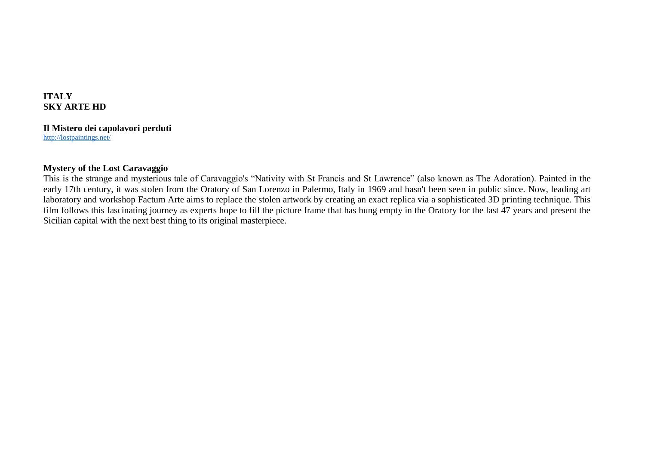# **ITALY SKY ARTE HD**

# **Il Mistero dei capolavori perduti**

<http://lostpaintings.net/>

# **Mystery of the Lost Caravaggio**

This is the strange and mysterious tale of Caravaggio's "Nativity with St Francis and St Lawrence" (also known as The Adoration). Painted in the early 17th century, it was stolen from the Oratory of San Lorenzo in Palermo, Italy in 1969 and hasn't been seen in public since. Now, leading art laboratory and workshop Factum Arte aims to replace the stolen artwork by creating an exact replica via a sophisticated 3D printing technique. This film follows this fascinating journey as experts hope to fill the picture frame that has hung empty in the Oratory for the last 47 years and present the Sicilian capital with the next best thing to its original masterpiece.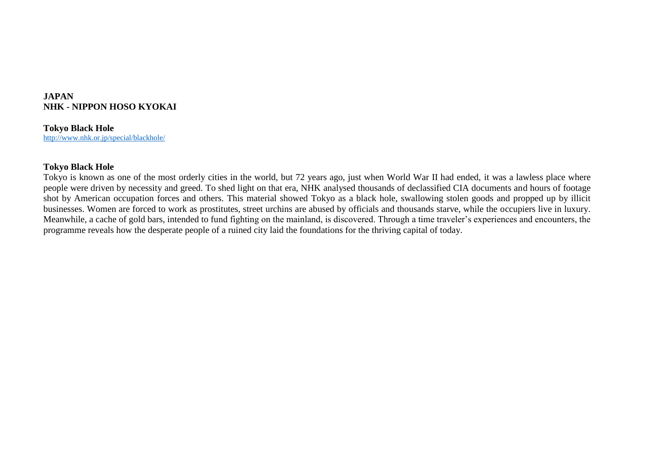# **JAPAN NHK - NIPPON HOSO KYOKAI**

# **Tokyo Black Hole**

<http://www.nhk.or.jp/special/blackhole/>

## **Tokyo Black Hole**

Tokyo is known as one of the most orderly cities in the world, but 72 years ago, just when World War II had ended, it was a lawless place where people were driven by necessity and greed. To shed light on that era, NHK analysed thousands of declassified CIA documents and hours of footage shot by American occupation forces and others. This material showed Tokyo as a black hole, swallowing stolen goods and propped up by illicit businesses. Women are forced to work as prostitutes, street urchins are abused by officials and thousands starve, while the occupiers live in luxury. Meanwhile, a cache of gold bars, intended to fund fighting on the mainland, is discovered. Through a time traveler's experiences and encounters, the programme reveals how the desperate people of a ruined city laid the foundations for the thriving capital of today.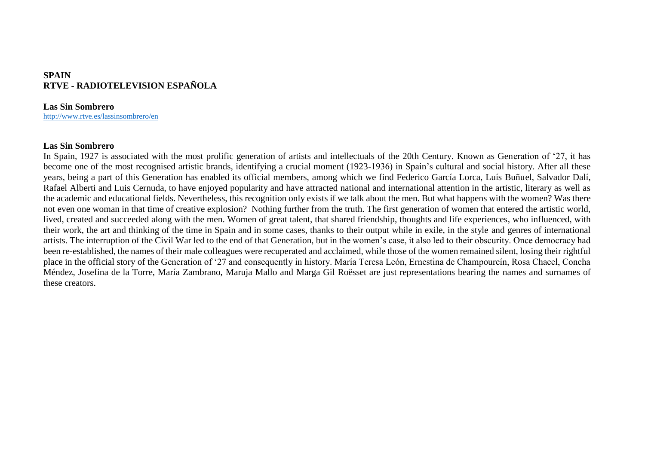# **SPAIN RTVE - RADIOTELEVISION ESPAÑOLA**

### **Las Sin Sombrero**

<http://www.rtve.es/lassinsombrero/en>

### **Las Sin Sombrero**

In Spain, 1927 is associated with the most prolific generation of artists and intellectuals of the 20th Century. Known as Generation of '27, it has become one of the most recognised artistic brands, identifying a crucial moment (1923-1936) in Spain's cultural and social history. After all these years, being a part of this Generation has enabled its official members, among which we find Federico García Lorca, Luís Buñuel, Salvador Dalí, Rafael Alberti and Luis Cernuda, to have enjoyed popularity and have attracted national and international attention in the artistic, literary as well as the academic and educational fields. Nevertheless, this recognition only exists if we talk about the men. But what happens with the women? Was there not even one woman in that time of creative explosion? Nothing further from the truth. The first generation of women that entered the artistic world, lived, created and succeeded along with the men. Women of great talent, that shared friendship, thoughts and life experiences, who influenced, with their work, the art and thinking of the time in Spain and in some cases, thanks to their output while in exile, in the style and genres of international artists. The interruption of the Civil War led to the end of that Generation, but in the women's case, it also led to their obscurity. Once democracy had been re-established, the names of their male colleagues were recuperated and acclaimed, while those of the women remained silent, losing their rightful place in the official story of the Generation of '27 and consequently in history. María Teresa León, Ernestina de Champourcín, Rosa Chacel, Concha Méndez, Josefina de la Torre, María Zambrano, Maruja Mallo and Marga Gil Roësset are just representations bearing the names and surnames of these creators.